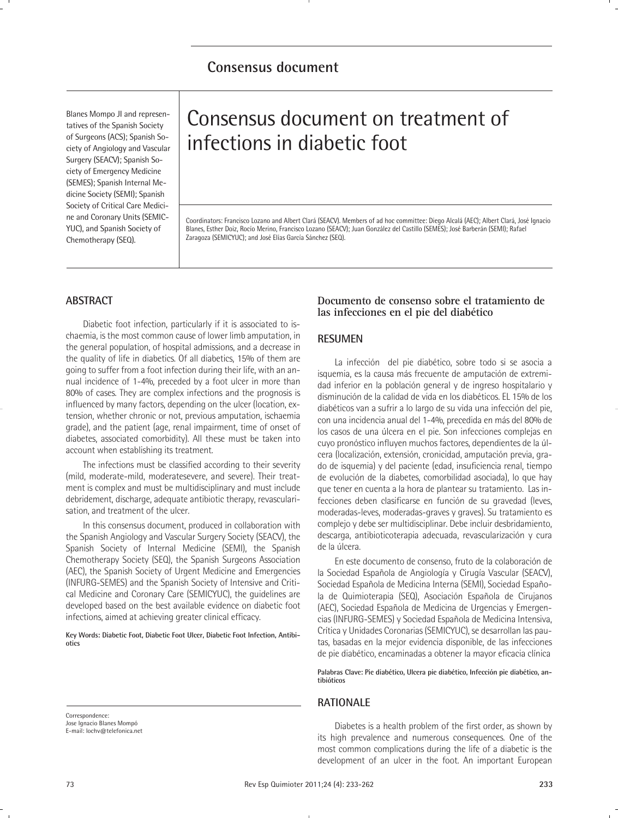# **Consensus document**

Blanes Mompo JI and representatives of the Spanish Society of Surgeons (ACS); Spanish Society of Angiology and Vascular Surgery (SEACV); Spanish Society of Emergency Medicine (SEMES); Spanish Internal Medicine Society (SEMI); Spanish Society of Critical Care Medicine and Coronary Units (SEMIC-YUC), and Spanish Society of Chemotherapy (SEQ).

# Consensus document on treatment of infections in diabetic foot

Coordinators: Francisco Lozano and Albert Clará (SEACV). Members of ad hoc committee: Diego Alcalá (AEC); Albert Clará, José Ignacio Blanes, Esther Doiz, Rocío Merino, Francisco Lozano (SEACV); Juan González del Castillo (SEMES); José Barberán (SEMI); Rafael Zaragoza (SEMICYUC); and José Elías García Sánchez (SEQ).

# **ABSTRACT**

Diabetic foot infection, particularly if it is associated to ischaemia, is the most common cause of lower limb amputation, in the general population, of hospital admissions, and a decrease in the quality of life in diabetics. Of all diabetics, 15% of them are going to suffer from a foot infection during their life, with an annual incidence of 1-4%, preceded by a foot ulcer in more than 80% of cases. They are complex infections and the prognosis is influenced by many factors, depending on the ulcer (location, extension, whether chronic or not, previous amputation, ischaemia grade), and the patient (age, renal impairment, time of onset of diabetes, associated comorbidity). All these must be taken into account when establishing its treatment.

The infections must be classified according to their severity (mild, moderate-mild, moderatesevere, and severe). Their treatment is complex and must be multidisciplinary and must include debridement, discharge, adequate antibiotic therapy, revascularisation, and treatment of the ulcer.

In this consensus document, produced in collaboration with the Spanish Angiology and Vascular Surgery Society (SEACV), the Spanish Society of Internal Medicine (SEMI), the Spanish Chemotherapy Society (SEQ), the Spanish Surgeons Association (AEC), the Spanish Society of Urgent Medicine and Emergencies (INFURG-SEMES) and the Spanish Society of Intensive and Critical Medicine and Coronary Care (SEMICYUC), the guidelines are developed based on the best available evidence on diabetic foot infections, aimed at achieving greater clinical efficacy.

**Key Words: Diabetic Foot, Diabetic Foot Ulcer, Diabetic Foot Infection, Antibiotics**

Correspondence: Jose Ignacio Blanes Mompó E-mail: lochv@telefonica.net

# **Documento de consenso sobre el tratamiento de las infecciones en el pie del diabético**

# **RESUMEN**

La infección del pie diabético, sobre todo si se asocia a isquemia, es la causa más frecuente de amputación de extremidad inferior en la población general y de ingreso hospitalario y disminución de la calidad de vida en los diabéticos. EL 15% de los diabéticos van a sufrir a lo largo de su vida una infección del pie, con una incidencia anual del 1-4%, precedida en más del 80% de los casos de una úlcera en el pie. Son infecciones complejas en cuyo pronóstico influyen muchos factores, dependientes de la úlcera (localización, extensión, cronicidad, amputación previa, grado de isquemia) y del paciente (edad, insuficiencia renal, tiempo de evolución de la diabetes, comorbilidad asociada), lo que hay que tener en cuenta a la hora de plantear su tratamiento. Las infecciones deben clasificarse en función de su gravedad (leves, moderadas-leves, moderadas-graves y graves). Su tratamiento es complejo y debe ser multidisciplinar. Debe incluir desbridamiento, descarga, antibioticoterapia adecuada, revascularización y cura de la úlcera.

En este documento de consenso, fruto de la colaboración de la Sociedad Española de Angiología y Cirugía Vascular (SEACV), Sociedad Española de Medicina Interna (SEMI), Sociedad Española de Quimioterapia (SEQ), Asociación Española de Cirujanos (AEC), Sociedad Española de Medicina de Urgencias y Emergencias (INFURG-SEMES) y Sociedad Española de Medicina Intensiva, Crítica y Unidades Coronarias (SEMICYUC), se desarrollan las pautas, basadas en la mejor evidencia disponible, de las infecciones de pie diabético, encaminadas a obtener la mayor eficacia clínica

**Palabras Clave: Pie diabético, Ulcera pie diabético, Infección pie diabético, antibióticos**

# **RATIONALE**

Diabetes is a health problem of the first order, as shown by its high prevalence and numerous consequences. One of the most common complications during the life of a diabetic is the development of an ulcer in the foot. An important European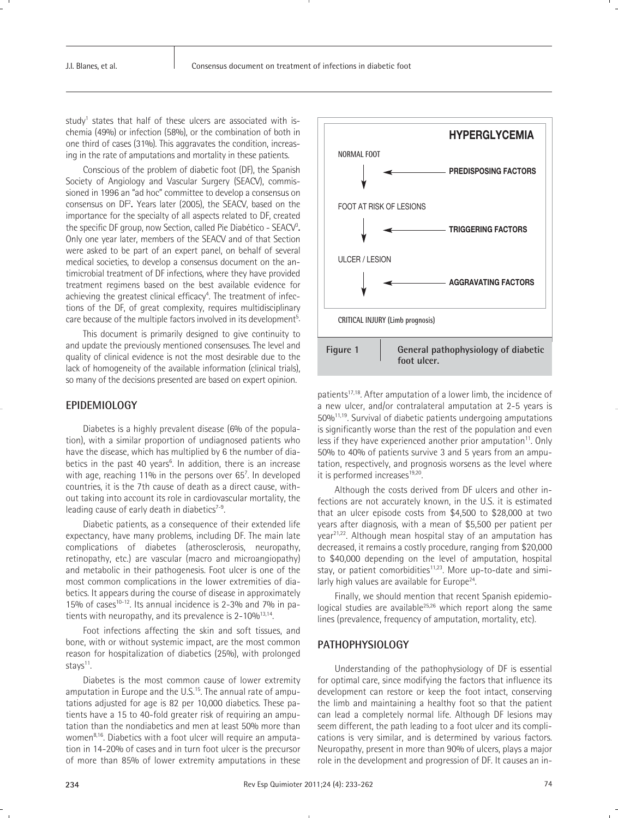study<sup>1</sup> states that half of these ulcers are associated with ischemia (49%) or infection (58%), or the combination of both in one third of cases (31%). This aggravates the condition, increasing in the rate of amputations and mortality in these patients.

Conscious of the problem of diabetic foot (DF), the Spanish Society of Angiology and Vascular Surgery (SEACV), commissioned in 1996 an "ad hoc" committee to develop a consensus on consensus on DF2 **.** Years later (2005), the SEACV, based on the importance for the specialty of all aspects related to DF, created the specific DF group, now Section, called Pie Diabético - SEACV3 **.** Only one year later, members of the SEACV and of that Section were asked to be part of an expert panel, on behalf of several medical societies, to develop a consensus document on the antimicrobial treatment of DF infections, where they have provided treatment regimens based on the best available evidence for achieving the greatest clinical efficacy<sup>4</sup>. The treatment of infections of the DF, of great complexity, requires multidisciplinary care because of the multiple factors involved in its development<sup>5</sup>.

This document is primarily designed to give continuity to and update the previously mentioned consensuses. The level and quality of clinical evidence is not the most desirable due to the lack of homogeneity of the available information (clinical trials), so many of the decisions presented are based on expert opinion.

# **EPIDEMIOLOGY**

Diabetes is a highly prevalent disease (6% of the population), with a similar proportion of undiagnosed patients who have the disease, which has multiplied by 6 the number of diabetics in the past 40 years<sup>6</sup>. In addition, there is an increase with age, reaching 11% in the persons over 65<sup>7</sup>. In developed countries, it is the 7th cause of death as a direct cause, without taking into account its role in cardiovascular mortality, the leading cause of early death in diabetics $7-9$ .

Diabetic patients, as a consequence of their extended life expectancy, have many problems, including DF. The main late complications of diabetes (atherosclerosis, neuropathy, retinopathy, etc.) are vascular (macro and microangiopathy) and metabolic in their pathogenesis. Foot ulcer is one of the most common complications in the lower extremities of diabetics. It appears during the course of disease in approximately 15% of cases<sup>10-12</sup>. Its annual incidence is 2-3% and 7% in patients with neuropathy, and its prevalence is  $2-10\%^{13,14}$ .

Foot infections affecting the skin and soft tissues, and bone, with or without systemic impact, are the most common reason for hospitalization of diabetics (25%), with prolonged stays $11$ .

Diabetes is the most common cause of lower extremity amputation in Europe and the U.S.<sup>15</sup>. The annual rate of amputations adjusted for age is 82 per 10,000 diabetics. These patients have a 15 to 40-fold greater risk of requiring an amputation than the nondiabetics and men at least 50% more than women<sup>8,16</sup>. Diabetics with a foot ulcer will require an amputation in 14-20% of cases and in turn foot ulcer is the precursor of more than 85% of lower extremity amputations in these



patients<sup>17,18</sup>. After amputation of a lower limb, the incidence of a new ulcer, and/or contralateral amputation at 2-5 years is 50%11,19. Survival of diabetic patients undergoing amputations is significantly worse than the rest of the population and even less if they have experienced another prior amputation<sup>11</sup>. Only 50% to 40% of patients survive 3 and 5 years from an amputation, respectively, and prognosis worsens as the level where it is performed increases<sup>19,20</sup>.

Although the costs derived from DF ulcers and other infections are not accurately known, in the U.S. it is estimated that an ulcer episode costs from \$4,500 to \$28,000 at two years after diagnosis, with a mean of \$5,500 per patient per year<sup>21,22</sup>. Although mean hospital stay of an amputation has decreased, it remains a costly procedure, ranging from \$20,000 to \$40,000 depending on the level of amputation, hospital stay, or patient comorbidities $11,23$ . More up-to-date and similarly high values are available for Europe<sup>24</sup>.

Finally, we should mention that recent Spanish epidemiological studies are available<sup>25,26</sup> which report along the same lines (prevalence, frequency of amputation, mortality, etc).

# **PATHOPHYSIOLOGY**

Understanding of the pathophysiology of DF is essential for optimal care, since modifying the factors that influence its development can restore or keep the foot intact, conserving the limb and maintaining a healthy foot so that the patient can lead a completely normal life. Although DF lesions may seem different, the path leading to a foot ulcer and its complications is very similar, and is determined by various factors. Neuropathy, present in more than 90% of ulcers, plays a major role in the development and progression of DF. It causes an in-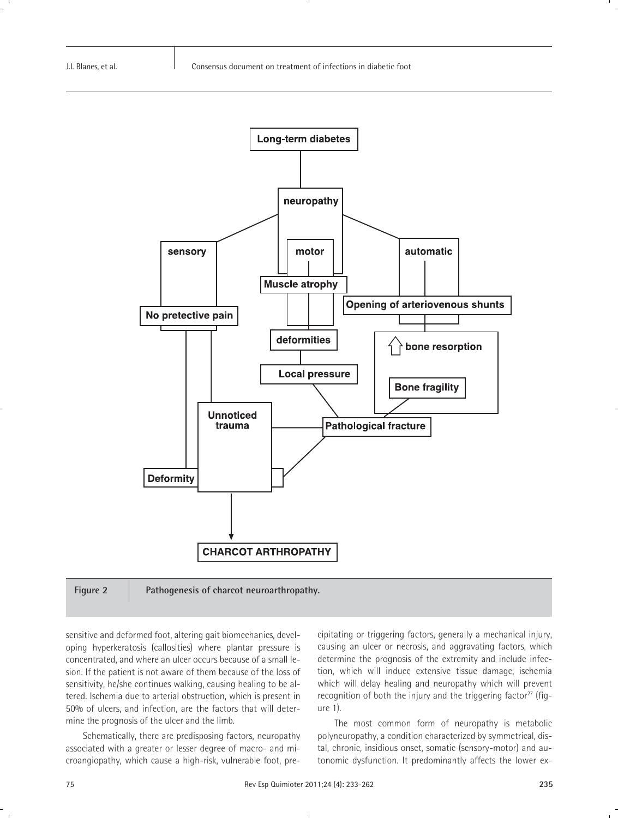

Figure 2 | Pathogenesis of charcot neuroarthropathy.

sensitive and deformed foot, altering gait biomechanics, developing hyperkeratosis (callosities) where plantar pressure is concentrated, and where an ulcer occurs because of a small lesion. If the patient is not aware of them because of the loss of sensitivity, he/she continues walking, causing healing to be altered. Ischemia due to arterial obstruction, which is present in 50% of ulcers, and infection, are the factors that will determine the prognosis of the ulcer and the limb.

Schematically, there are predisposing factors, neuropathy associated with a greater or lesser degree of macro- and microangiopathy, which cause a high-risk, vulnerable foot, precipitating or triggering factors, generally a mechanical injury, causing an ulcer or necrosis, and aggravating factors, which determine the prognosis of the extremity and include infection, which will induce extensive tissue damage, ischemia which will delay healing and neuropathy which will prevent recognition of both the injury and the triggering factor<sup>27</sup> (figure 1).

The most common form of neuropathy is metabolic polyneuropathy, a condition characterized by symmetrical, distal, chronic, insidious onset, somatic (sensory-motor) and autonomic dysfunction. It predominantly affects the lower ex-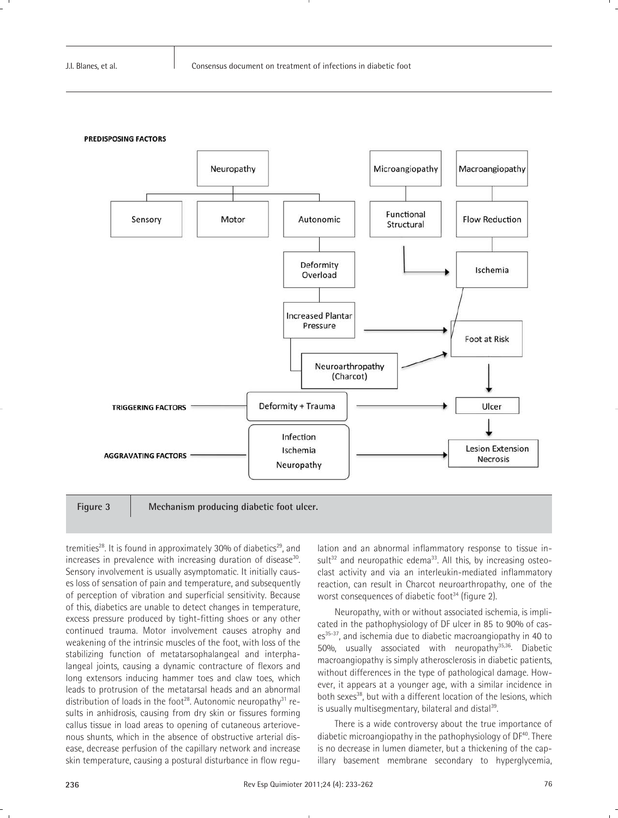

**Figure 3 Mechanism producing diabetic foot ulcer.**

tremities<sup>28</sup>. It is found in approximately 30% of diabetics<sup>29</sup>, and increases in prevalence with increasing duration of disease<sup>30</sup>. Sensory involvement is usually asymptomatic. It initially causes loss of sensation of pain and temperature, and subsequently of perception of vibration and superficial sensitivity. Because of this, diabetics are unable to detect changes in temperature, excess pressure produced by tight-fitting shoes or any other continued trauma. Motor involvement causes atrophy and weakening of the intrinsic muscles of the foot, with loss of the stabilizing function of metatarsophalangeal and interphalangeal joints, causing a dynamic contracture of flexors and long extensors inducing hammer toes and claw toes, which leads to protrusion of the metatarsal heads and an abnormal distribution of loads in the foot<sup>28</sup>. Autonomic neuropathy<sup>31</sup> results in anhidrosis, causing from dry skin or fissures forming callus tissue in load areas to opening of cutaneous arteriovenous shunts, which in the absence of obstructive arterial disease, decrease perfusion of the capillary network and increase skin temperature, causing a postural disturbance in flow regulation and an abnormal inflammatory response to tissue in $sult^{32}$  and neuropathic edema<sup>33</sup>. All this, by increasing osteoclast activity and via an interleukin-mediated inflammatory reaction, can result in Charcot neuroarthropathy, one of the worst consequences of diabetic foot<sup>34</sup> (figure 2).

Neuropathy, with or without associated ischemia, is implicated in the pathophysiology of DF ulcer in 85 to 90% of cases<sup>35-37</sup>, and ischemia due to diabetic macroangiopathy in 40 to 50%, usually associated with neuropathy<sup>35,36</sup>. Diabetic macroangiopathy is simply atherosclerosis in diabetic patients, without differences in the type of pathological damage. However, it appears at a younger age, with a similar incidence in both sexes<sup>38</sup>, but with a different location of the lesions, which is usually multisegmentary, bilateral and distal<sup>39</sup>.

There is a wide controversy about the true importance of diabetic microangiopathy in the pathophysiology of DF<sup>40</sup>. There is no decrease in lumen diameter, but a thickening of the capillary basement membrane secondary to hyperglycemia,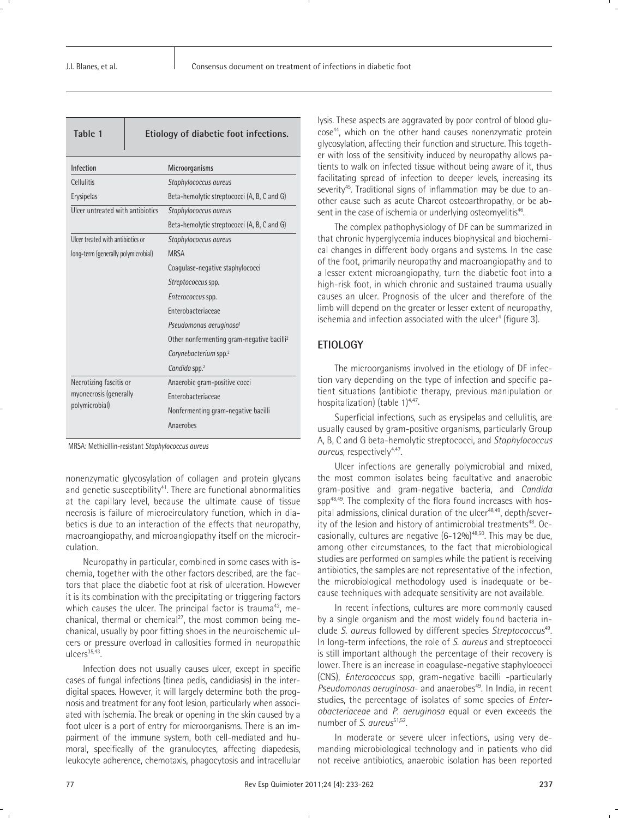| Table 1                                  | Etiology of diabetic foot infections.                  |  |  |
|------------------------------------------|--------------------------------------------------------|--|--|
| <b>Infection</b>                         | Microorganisms                                         |  |  |
| Cellulitis                               | Staphylococcus aureus                                  |  |  |
| Erysipelas                               | Beta-hemolytic streptococci (A, B, C and G)            |  |  |
| Ulcer untreated with antibiotics         | Staphylococcus aureus                                  |  |  |
|                                          | Beta-hemolytic streptococci (A, B, C and G)            |  |  |
| <b>Ulcer treated with antibiotics or</b> | Staphylococcus aureus                                  |  |  |
| long-term (generally polymicrobial)      | <b>MRSA</b>                                            |  |  |
|                                          | Coagulase-negative staphylococci                       |  |  |
|                                          | Streptococcus spp.                                     |  |  |
|                                          | Enterococcus spp.                                      |  |  |
|                                          | Enterobacteriaceae                                     |  |  |
|                                          | Pseudomonas aeruginosa <sup>1</sup>                    |  |  |
|                                          | Other nonfermenting gram-negative bacilli <sup>2</sup> |  |  |
|                                          | Corynebacterium spp. <sup>2</sup>                      |  |  |
|                                          | Candida spp. <sup>2</sup>                              |  |  |
| Necrotizing fascitis or                  | Anaerobic gram-positive cocci                          |  |  |
| myonecrosis (generally                   | Enterobacteriaceae                                     |  |  |
| polymicrobial)                           | Nonfermenting gram-negative bacilli                    |  |  |
|                                          | Anaerobes                                              |  |  |

MRSA: Methicillin-resistant *Staphylococcus aureus*

nonenzymatic glycosylation of collagen and protein glycans and genetic susceptibility<sup>41</sup>. There are functional abnormalities at the capillary level, because the ultimate cause of tissue necrosis is failure of microcirculatory function, which in diabetics is due to an interaction of the effects that neuropathy, macroangiopathy, and microangiopathy itself on the microcirculation.

Neuropathy in particular, combined in some cases with ischemia, together with the other factors described, are the factors that place the diabetic foot at risk of ulceration. However it is its combination with the precipitating or triggering factors which causes the ulcer. The principal factor is trauma<sup>42</sup>, mechanical, thermal or chemical<sup>27</sup>, the most common being mechanical, usually by poor fitting shoes in the neuroischemic ulcers or pressure overload in callosities formed in neuropathic  $ulcers<sup>35,43</sup>$ .

Infection does not usually causes ulcer, except in specific cases of fungal infections (tinea pedis, candidiasis) in the interdigital spaces. However, it will largely determine both the prognosis and treatment for any foot lesion, particularly when associated with ischemia. The break or opening in the skin caused by a foot ulcer is a port of entry for microorganisms. There is an impairment of the immune system, both cell-mediated and humoral, specifically of the granulocytes, affecting diapedesis, leukocyte adherence, chemotaxis, phagocytosis and intracellular lysis. These aspects are aggravated by poor control of blood glucose<sup>44</sup>, which on the other hand causes nonenzymatic protein glycosylation, affecting their function and structure. This together with loss of the sensitivity induced by neuropathy allows patients to walk on infected tissue without being aware of it, thus facilitating spread of infection to deeper levels, increasing its severity<sup>45</sup>. Traditional signs of inflammation may be due to another cause such as acute Charcot osteoarthropathy, or be absent in the case of ischemia or underlying osteomyelitis<sup>46</sup>.

The complex pathophysiology of DF can be summarized in that chronic hyperglycemia induces biophysical and biochemical changes in different body organs and systems. In the case of the foot, primarily neuropathy and macroangiopathy and to a lesser extent microangiopathy, turn the diabetic foot into a high-risk foot, in which chronic and sustained trauma usually causes an ulcer. Prognosis of the ulcer and therefore of the limb will depend on the greater or lesser extent of neuropathy, ischemia and infection associated with the ulcer<sup>4</sup> (figure 3).

# **ETIOLOGY**

The microorganisms involved in the etiology of DF infection vary depending on the type of infection and specific patient situations (antibiotic therapy, previous manipulation or hospitalization) (table 1)<sup>4,47</sup>.

Superficial infections, such as erysipelas and cellulitis, are usually caused by gram-positive organisms, particularly Group A, B, C and G beta-hemolytic streptococci, and *Staphylococcus* aureus, respectively<sup>4,47</sup>.

Ulcer infections are generally polymicrobial and mixed, the most common isolates being facultative and anaerobic gram-positive and gram-negative bacteria, and *Candida* spp<sup>48,49</sup>. The complexity of the flora found increases with hospital admissions, clinical duration of the ulcer $48,49$ , depth/severity of the lesion and history of antimicrobial treatments<sup>48</sup>. Occasionally, cultures are negative  $(6-12\%)^{48,50}$ . This may be due, among other circumstances, to the fact that microbiological studies are performed on samples while the patient is receiving antibiotics, the samples are not representative of the infection, the microbiological methodology used is inadequate or because techniques with adequate sensitivity are not available.

In recent infections, cultures are more commonly caused by a single organism and the most widely found bacteria include *S. aureus* followed by different species *Streptococcus*49. In long-term infections, the role of *S. aureus* and streptococci is still important although the percentage of their recovery is lower. There is an increase in coagulase-negative staphylococci (CNS), *Enterococcus* spp, gram-negative bacilli -particularly Pseudomonas aeruginosa- and anaerobes<sup>49</sup>. In India, in recent studies, the percentage of isolates of some species of *Enterobacteriaceae* and *P. aeruginosa* equal or even exceeds the number of *S. aureus*<sup>51,52</sup>.

In moderate or severe ulcer infections, using very demanding microbiological technology and in patients who did not receive antibiotics, anaerobic isolation has been reported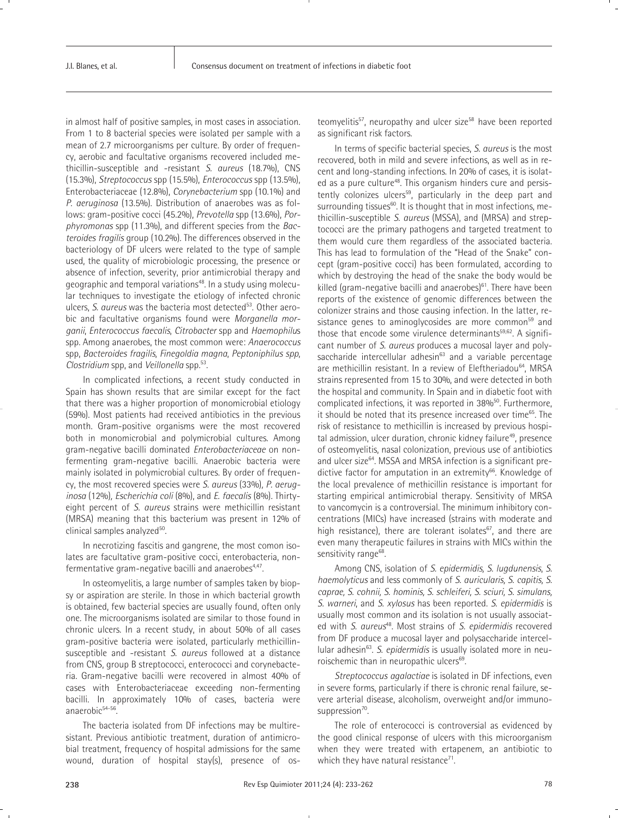in almost half of positive samples, in most cases in association. From 1 to 8 bacterial species were isolated per sample with a mean of 2.7 microorganisms per culture. By order of frequency, aerobic and facultative organisms recovered included methicillin-susceptible and -resistant *S. aureus* (18.7%), CNS (15.3%), *Streptococcus* spp (15.5%), *Enterococcus* spp (13.5%), Enterobacteriaceae (12.8%), *Corynebacterium* spp (10.1%) and *P. aeruginosa* (13.5%). Distribution of anaerobes was as follows: gram-positive cocci (45.2%), *Prevotella* spp (13.6%), *Porphyromonas* spp (11.3%), and different species from the *Bacteroides fragilis* group (10.2%). The differences observed in the bacteriology of DF ulcers were related to the type of sample used, the quality of microbiologic processing, the presence or absence of infection, severity, prior antimicrobial therapy and geographic and temporal variations<sup>48</sup>. In a study using molecular techniques to investigate the etiology of infected chronic ulcers, *S. aureus* was the bacteria most detected<sup>53</sup>. Other aerobic and facultative organisms found were *Morganella morganii*, *Enterococcus faecalis*, *Citrobacter* spp and *Haemophilu*s spp. Among anaerobes, the most common were: *Anaerococcus* spp, *Bacteroides fragilis*, *Finegoldia magna*, *Peptoniphilus spp*, *Clostridium* spp, and *Veillonella* spp*.* 53.

In complicated infections, a recent study conducted in Spain has shown results that are similar except for the fact that there was a higher proportion of monomicrobial etiology (59%). Most patients had received antibiotics in the previous month. Gram-positive organisms were the most recovered both in monomicrobial and polymicrobial cultures. Among gram-negative bacilli dominated *Enterobacteriaceae* on nonfermenting gram-negative bacilli. Anaerobic bacteria were mainly isolated in polymicrobial cultures. By order of frequency, the most recovered species were *S. aureus* (33%)*, P. aeruginosa* (12%)*, Escherichia coli* (8%), and *E. faecalis* (8%)*.* Thirtyeight percent of *S. aureus* strains were methicillin resistant (MRSA) meaning that this bacterium was present in 12% of clinical samples analyzed<sup>50</sup>.

In necrotizing fascitis and gangrene, the most comon isolates are facultative gram-positive cocci, enterobacteria, nonfermentative gram-negative bacilli and anaerobes $447$ .

In osteomyelitis, a large number of samples taken by biopsy or aspiration are sterile. In those in which bacterial growth is obtained, few bacterial species are usually found, often only one. The microorganisms isolated are similar to those found in chronic ulcers. In a recent study, in about 50% of all cases gram-positive bacteria were isolated, particularly methicillinsusceptible and -resistant *S. aureus* followed at a distance from CNS, group B streptococci, enterococci and corynebacteria. Gram-negative bacilli were recovered in almost 40% of cases with Enterobacteriaceae exceeding non-fermenting bacilli. In approximately 10% of cases, bacteria were anaerobic<sup>54-56</sup>.

The bacteria isolated from DF infections may be multiresistant. Previous antibiotic treatment, duration of antimicrobial treatment, frequency of hospital admissions for the same wound, duration of hospital stay(s), presence of osteomyelitis<sup>57</sup>, neuropathy and ulcer size<sup>58</sup> have been reported as significant risk factors.

In terms of specific bacterial species, *S. aureus* is the most recovered, both in mild and severe infections, as well as in recent and long-standing infections. In 20% of cases, it is isolated as a pure culture<sup>48</sup>. This organism hinders cure and persistently colonizes ulcers<sup>59</sup>, particularly in the deep part and surrounding tissues<sup>60</sup>. It is thought that in most infections, methicillin-susceptible *S. aureus* (MSSA), and (MRSA) and streptococci are the primary pathogens and targeted treatment to them would cure them regardless of the associated bacteria. This has lead to formulation of the "Head of the Snake" concept (gram-positive cocci) has been formulated, according to which by destroying the head of the snake the body would be killed (gram-negative bacilli and anaerobes) $61$ . There have been reports of the existence of genomic differences between the colonizer strains and those causing infection. In the latter, resistance genes to aminoglycosides are more common<sup>59</sup> and those that encode some virulence determinants<sup>59,62</sup>. A significant number of *S. aureus* produces a mucosal layer and polysaccharide intercellular adhesin<sup>63</sup> and a variable percentage are methicillin resistant. In a review of Eleftheriadou<sup>64</sup>, MRSA strains represented from 15 to 30%, and were detected in both the hospital and community. In Spain and in diabetic foot with complicated infections, it was reported in 38%<sup>50</sup>. Furthermore, it should be noted that its presence increased over time $65$ . The risk of resistance to methicillin is increased by previous hospital admission, ulcer duration, chronic kidney failure<sup>49</sup>, presence of osteomyelitis, nasal colonization, previous use of antibiotics and ulcer size<sup>64</sup>. MSSA and MRSA infection is a significant predictive factor for amputation in an extremity<sup>66</sup>. Knowledge of the local prevalence of methicillin resistance is important for starting empirical antimicrobial therapy. Sensitivity of MRSA to vancomycin is a controversial. The minimum inhibitory concentrations (MICs) have increased (strains with moderate and high resistance), there are tolerant isolates<sup>67</sup>, and there are even many therapeutic failures in strains with MICs within the sensitivity range<sup>68</sup>.

Among CNS, isolation of *S. epidermidis, S. lugdunensis*, *S. haemolyticus* and less commonly of *S. auricularis, S. capitis, S. caprae, S. cohnii, S. hominis, S. schleiferi, S. sciuri, S. simulans, S. warneri*, and *S. xylosus* has been reported. *S. epidermidis* is usually most common and its isolation is not usually associated with *S. aureus<sup>48</sup>*. Most strains of *S. epidermidis* recovered from DF produce a mucosal layer and polysaccharide intercellular adhesin<sup>63</sup>. S. epidermidis is usually isolated more in neuroischemic than in neuropathic ulcers<sup>69</sup>.

*Streptococcus agalactiae* is isolated in DF infections, even in severe forms, particularly if there is chronic renal failure, severe arterial disease, alcoholism, overweight and/or immunosuppression<sup>70</sup>.

The role of enterococci is controversial as evidenced by the good clinical response of ulcers with this microorganism when they were treated with ertapenem, an antibiotic to which they have natural resistance $\alpha$ <sup>1</sup>.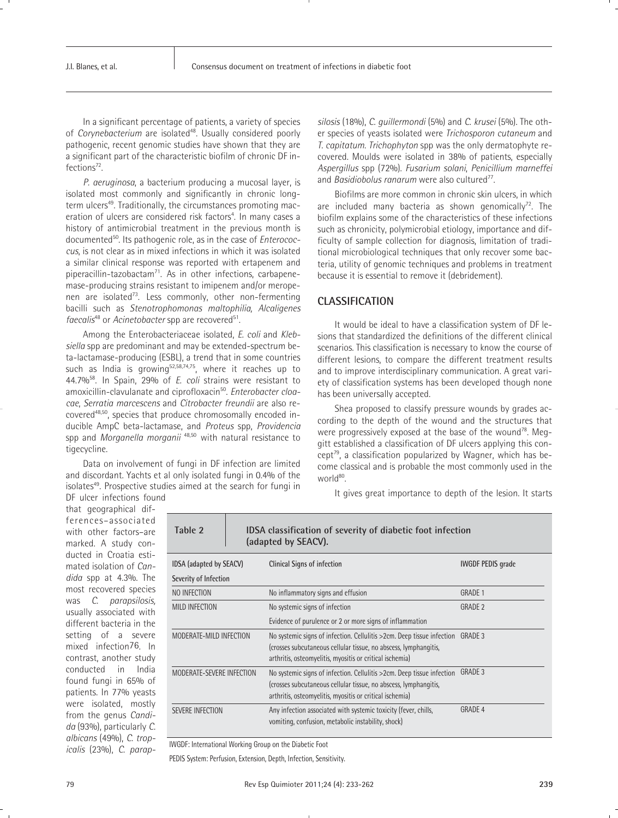In a significant percentage of patients, a variety of species of *Corynebacterium* are isolated<sup>48</sup>. Usually considered poorly pathogenic, recent genomic studies have shown that they are a significant part of the characteristic biofilm of chronic DF infections<sup>72</sup>.

*P. aeruginosa*, a bacterium producing a mucosal layer, is isolated most commonly and significantly in chronic longterm ulcers<sup>49</sup>. Traditionally, the circumstances promoting maceration of ulcers are considered risk factors<sup>4</sup>. In many cases a history of antimicrobial treatment in the previous month is documented50. Its pathogenic role, as in the case of *Enterococcus*, is not clear as in mixed infections in which it was isolated a similar clinical response was reported with ertapenem and piperacillin-tazobactam<sup>71</sup>. As in other infections, carbapenemase-producing strains resistant to imipenem and/or meropenen are isolated<sup>73</sup>. Less commonly, other non-fermenting bacilli such as *Stenotrophomonas maltophilia, Alcaligenes faecalis<sup>48</sup>* or *Acinetobacter* spp are recovered<sup>51</sup>.

Among the Enterobacteriaceae isolated, *E. coli* and *Klebsiella* spp are predominant and may be extended-spectrum beta-lactamase-producing (ESBL), a trend that in some countries such as India is growing<sup>52,58,74,75</sup>, where it reaches up to 44.7%58. In Spain, 29% of *E. coli* strains were resistant to amoxicillin-clavulanate and ciprofloxacin<sup>50</sup>. *Enterobacter cloacae*, *Serratia marcescens* and *Citrobacter freundii* are also recovered<sup>48,50</sup>, species that produce chromosomally encoded inducible AmpC beta-lactamase, and *Proteus* spp, *Providencia* spp and *Morganella morganii* 48,50 with natural resistance to tigecycline.

Data on involvement of fungi in DF infection are limited and discordant. Yachts et al only isolated fungi in 0.4% of the isolates<sup>49</sup>. Prospective studies aimed at the search for fungi in *silosis* (18%), *C. guillermondi* (5%) and *C. krusei* (5%). The other species of yeasts isolated were *Trichosporon cutaneum* and *T. capitatum*. *Trichophyton* spp was the only dermatophyte recovered. Moulds were isolated in 38% of patients, especially *Aspergillus* spp (72%). *Fusarium solani*, *Penicillium marneffei* and *Basidiobolus ranarum* were also cultured<sup>77</sup>.

Biofilms are more common in chronic skin ulcers, in which are included many bacteria as shown genomically<sup>72</sup>. The biofilm explains some of the characteristics of these infections such as chronicity, polymicrobial etiology, importance and difficulty of sample collection for diagnosis, limitation of traditional microbiological techniques that only recover some bacteria, utility of genomic techniques and problems in treatment because it is essential to remove it (debridement).

# **CLASSIFICATION**

It would be ideal to have a classification system of DF lesions that standardized the definitions of the different clinical scenarios. This classification is necessary to know the course of different lesions, to compare the different treatment results and to improve interdisciplinary communication. A great variety of classification systems has been developed though none has been universally accepted.

Shea proposed to classify pressure wounds by grades according to the depth of the wound and the structures that were progressively exposed at the base of the wound<sup>78</sup>. Meggitt established a classification of DF ulcers applying this concept<sup>79</sup>, a classification popularized by Wagner, which has become classical and is probable the most commonly used in the world<sup>80</sup>.

It gives great importance to depth of the lesion. It starts

DF ulcer infections found that geographical differences–associated with other factors–are marked. A study conducted in Croatia estimated isolation of *Candida* spp at 4.3%. The most recovered species was *C. parapsilosis,* usually associated with different bacteria in the setting of a severe mixed infection76*.* In contrast, another study conducted in India found fungi in 65% of patients. In 77% yeasts were isolated, mostly from the genus *Candida* (93%), particularly *C. albicans* (49%), *C. tropicalis* (23%), *C. parap-*

| (adapted by SEACV).       |  |                                                                                                                                                                                                         |                          |
|---------------------------|--|---------------------------------------------------------------------------------------------------------------------------------------------------------------------------------------------------------|--------------------------|
| IDSA (adapted by SEACV)   |  | <b>Clinical Signs of infection</b>                                                                                                                                                                      | <b>IWGDF PEDIS grade</b> |
| Severity of Infection     |  |                                                                                                                                                                                                         |                          |
| NO INFECTION              |  | No inflammatory signs and effusion                                                                                                                                                                      | <b>GRADE 1</b>           |
| <b>MILD INFECTION</b>     |  | No systemic signs of infection                                                                                                                                                                          | <b>GRADE 2</b>           |
|                           |  | Evidence of purulence or 2 or more signs of inflammation                                                                                                                                                |                          |
| MODERATE-MILD INFECTION   |  | No systemic signs of infection. Cellulitis > 2cm. Deep tissue infection<br>(crosses subcutaneous cellular tissue, no abscess, lymphangitis,<br>arthritis, osteomyelitis, myositis or critical ischemia) | GRADE 3                  |
| MODERATE-SEVERE INFECTION |  | No systemic signs of infection. Cellulitis >2cm. Deep tissue infection<br>(crosses subcutaneous cellular tissue, no abscess, lymphangitis,<br>arthritis, osteomyelitis, myositis or critical ischemia)  | GRADE 3                  |
| SEVERE INFECTION          |  | Any infection associated with systemic toxicity (fever, chills,<br>vomiting, confusion, metabolic instability, shock)                                                                                   | GRADE 4                  |

**Table 2 IDSA classification of severity of diabetic foot infection** 

IWGDF: International Working Group on the Diabetic Foot

PEDIS System: Perfusion, Extension, Depth, Infection, Sensitivity.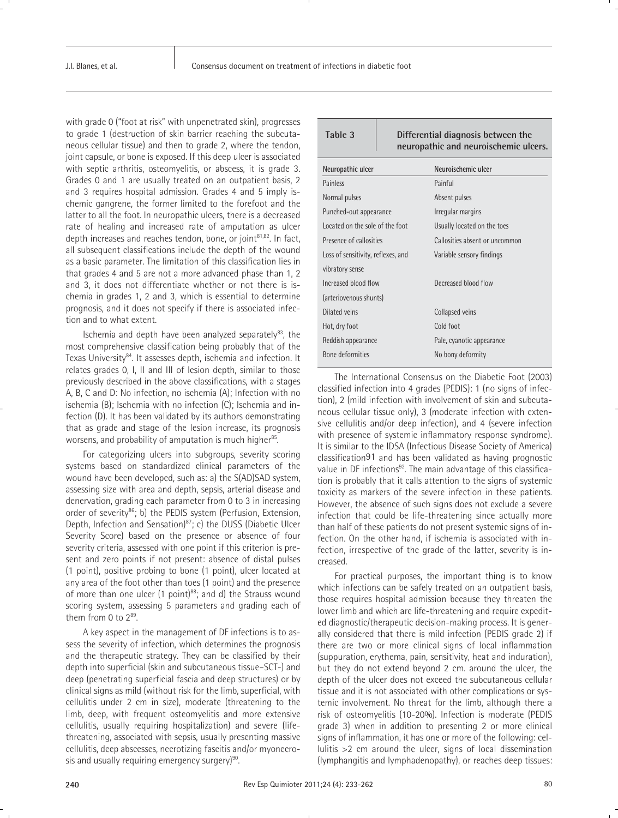with grade 0 ("foot at risk" with unpenetrated skin), progresses to grade 1 (destruction of skin barrier reaching the subcutaneous cellular tissue) and then to grade 2, where the tendon, joint capsule, or bone is exposed. If this deep ulcer is associated with septic arthritis, osteomyelitis, or abscess, it is grade 3. Grades 0 and 1 are usually treated on an outpatient basis, 2 and 3 requires hospital admission. Grades 4 and 5 imply ischemic gangrene, the former limited to the forefoot and the latter to all the foot. In neuropathic ulcers, there is a decreased rate of healing and increased rate of amputation as ulcer depth increases and reaches tendon, bone, or joint $81,82$ . In fact, all subsequent classifications include the depth of the wound as a basic parameter. The limitation of this classification lies in that grades 4 and 5 are not a more advanced phase than 1, 2 and 3, it does not differentiate whether or not there is ischemia in grades 1, 2 and 3, which is essential to determine prognosis, and it does not specify if there is associated infection and to what extent.

Ischemia and depth have been analyzed separately $^{83}$ , the most comprehensive classification being probably that of the Texas University<sup>84</sup>. It assesses depth, ischemia and infection. It relates grades 0, I, II and III of lesion depth, similar to those previously described in the above classifications, with a stages A, B, C and D: No infection, no ischemia (A); Infection with no ischemia (B); Ischemia with no infection (C); Ischemia and infection (D). It has been validated by its authors demonstrating that as grade and stage of the lesion increase, its prognosis worsens, and probability of amputation is much higher<sup>85</sup>.

For categorizing ulcers into subgroups, severity scoring systems based on standardized clinical parameters of the wound have been developed, such as: a) the S(AD)SAD system, assessing size with area and depth, sepsis, arterial disease and denervation, grading each parameter from 0 to 3 in increasing order of severity<sup>86</sup>; b) the PEDIS system (Perfusion, Extension, Depth, Infection and Sensation)<sup>87</sup>; c) the DUSS (Diabetic Ulcer Severity Score) based on the presence or absence of four severity criteria, assessed with one point if this criterion is present and zero points if not present: absence of distal pulses (1 point), positive probing to bone (1 point), ulcer located at any area of the foot other than toes (1 point) and the presence of more than one ulcer  $(1 \text{ point})^{88}$ ; and d) the Strauss wound scoring system, assessing 5 parameters and grading each of them from 0 to 289.

A key aspect in the management of DF infections is to assess the severity of infection, which determines the prognosis and the therapeutic strategy. They can be classified by their depth into superficial (skin and subcutaneous tissue–SCT-) and deep (penetrating superficial fascia and deep structures) or by clinical signs as mild (without risk for the limb, superficial, with cellulitis under 2 cm in size), moderate (threatening to the limb, deep, with frequent osteomyelitis and more extensive cellulitis, usually requiring hospitalization) and severe (lifethreatening, associated with sepsis, usually presenting massive cellulitis, deep abscesses, necrotizing fascitis and/or myonecrosis and usually requiring emergency surgery)<sup>90</sup>.

| Table 3<br>Differential diagnosis between the<br>neuropathic and neuroischemic ulcers. |  |                                |
|----------------------------------------------------------------------------------------|--|--------------------------------|
| Neuropathic ulcer                                                                      |  | Neuroischemic ulcer            |
| Painless                                                                               |  | Painful                        |
| Normal pulses                                                                          |  | Absent pulses                  |
| Punched-out appearance                                                                 |  | Irregular margins              |
| Located on the sole of the foot                                                        |  | Usually located on the toes    |
| Presence of callosities                                                                |  | Callosities absent or uncommon |
| Loss of sensitivity, reflexes, and                                                     |  | Variable sensory findings      |
| vibratory sense                                                                        |  |                                |
| Increased blood flow                                                                   |  | Decreased blood flow           |
| (arteriovenous shunts)                                                                 |  |                                |
| Dilated veins                                                                          |  | Collapsed veins                |
| Hot, dry foot                                                                          |  | Cold foot                      |
| Reddish appearance                                                                     |  | Pale, cyanotic appearance      |
| Bone deformities                                                                       |  | No bony deformity              |
|                                                                                        |  |                                |

The International Consensus on the Diabetic Foot (2003) classified infection into 4 grades (PEDIS): 1 (no signs of infection), 2 (mild infection with involvement of skin and subcutaneous cellular tissue only), 3 (moderate infection with extensive cellulitis and/or deep infection), and 4 (severe infection with presence of systemic inflammatory response syndrome). It is similar to the IDSA (Infectious Disease Society of America) classification91 and has been validated as having prognostic value in DF infections<sup>92</sup>. The main advantage of this classification is probably that it calls attention to the signs of systemic toxicity as markers of the severe infection in these patients. However, the absence of such signs does not exclude a severe infection that could be life-threatening since actually more than half of these patients do not present systemic signs of infection. On the other hand, if ischemia is associated with infection, irrespective of the grade of the latter, severity is increased.

For practical purposes, the important thing is to know which infections can be safely treated on an outpatient basis, those requires hospital admission because they threaten the lower limb and which are life-threatening and require expedited diagnostic/therapeutic decision-making process. It is generally considered that there is mild infection (PEDIS grade 2) if there are two or more clinical signs of local inflammation (suppuration, erythema, pain, sensitivity, heat and induration), but they do not extend beyond 2 cm. around the ulcer, the depth of the ulcer does not exceed the subcutaneous cellular tissue and it is not associated with other complications or systemic involvement. No threat for the limb, although there a risk of osteomyelitis (10-20%). Infection is moderate (PEDIS grade 3) when in addition to presenting 2 or more clinical signs of inflammation, it has one or more of the following: cellulitis >2 cm around the ulcer, signs of local dissemination (lymphangitis and lymphadenopathy), or reaches deep tissues: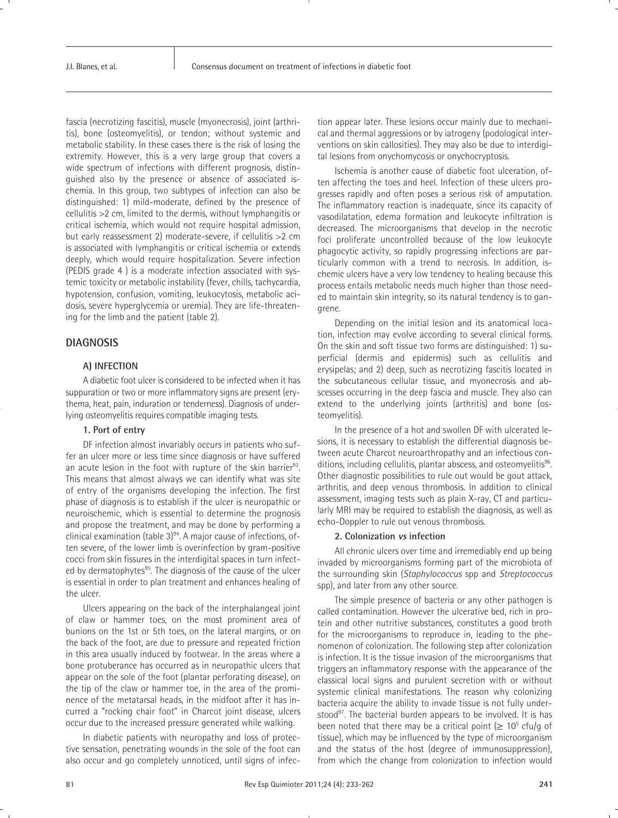fascia (necrotizing fascitis), muscle (myonecrosis), joint (arthritis), bone (osteomyelitis), or tendon; without systemic and metabolic stability. In these cases there is the risk of losing the extremity. However, this is a very large group that covers a wide spectrum of infections with different prognosis, distinguished also by the presence or absence of associated ischemia. In this group, two subtypes of infection can also be distinguished: 1) mild-moderate, defined by the presence of cellulitis >2 cm, limited to the dermis, without lymphangitis or critical ischemia, which would not require hospital admission, but early reassessment 2) moderate-severe, if cellulitis >2 cm is associated with lymphangitis or critical ischemia or extends deeply, which would require hospitalization. Severe infection (PEDIS grade 4 ) is a moderate infection associated with systemic toxicity or metabolic instability (fever, chills, tachycardia, hypotension, confusion, vomiting, leukocytosis, metabolic acidosis, severe hyperglycemia or uremia). They are life-threatening for the limb and the patient (table 2).

# **DIAGNOSIS**

### **A) INFECTION**

A diabetic foot ulcer is considered to be infected when it has suppuration or two or more inflammatory signs are present (erythema, heat, pain, induration or tenderness). Diagnosis of underlying osteomyelitis requires compatible imaging tests.

# **1. Port of entry**

DF infection almost invariably occurs in patients who suffer an ulcer more or less time since diagnosis or have suffered an acute lesion in the foot with rupture of the skin barrier $93$ . This means that almost always we can identify what was site of entry of the organisms developing the infection. The first phase of diagnosis is to establish if the ulcer is neuropathic or neuroischemic, which is essential to determine the prognosis and propose the treatment, and may be done by performing a clinical examination (table 3)<sup>94</sup>. A major cause of infections, often severe, of the lower limb is overinfection by gram-positive cocci from skin fissures in the interdigital spaces in turn infected by dermatophytes<sup>95</sup>. The diagnosis of the cause of the ulcer is essential in order to plan treatment and enhances healing of the ulcer.

Ulcers appearing on the back of the interphalangeal joint of claw or hammer toes, on the most prominent area of bunions on the 1st or 5th toes, on the lateral margins, or on the back of the foot, are due to pressure and repeated friction in this area usually induced by footwear. In the areas where a bone protuberance has occurred as in neuropathic ulcers that appear on the sole of the foot (plantar perforating disease), on the tip of the claw or hammer toe, in the area of the prominence of the metatarsal heads, in the midfoot after it has incurred a "rocking chair foot" in Charcot joint disease, ulcers occur due to the increased pressure generated while walking.

In diabetic patients with neuropathy and loss of protective sensation, penetrating wounds in the sole of the foot can also occur and go completely unnoticed, until signs of infection appear later. These lesions occur mainly due to mechanical and thermal aggressions or by iatrogeny (podological interventions on skin callosities). They may also be due to interdigital lesions from onychomycosis or onychocryptosis.

Ischemia is another cause of diabetic foot ulceration, often affecting the toes and heel. Infection of these ulcers progresses rapidly and often poses a serious risk of amputation. The inflammatory reaction is inadequate, since its capacity of vasodilatation, edema formation and leukocyte infiltration is decreased. The microorganisms that develop in the necrotic foci proliferate uncontrolled because of the low leukocyte phagocytic activity, so rapidly progressing infections are particularly common with a trend to necrosis. In addition, ischemic ulcers have a very low tendency to healing because this process entails metabolic needs much higher than those needed to maintain skin integrity, so its natural tendency is to gangrene.

Depending on the initial lesion and its anatomical location, infection may evolve according to several clinical forms. On the skin and soft tissue two forms are distinguished: 1) superficial (dermis and epidermis) such as cellulitis and erysipelas; and 2) deep, such as necrotizing fascitis located in the subcutaneous cellular tissue, and myonecrosis and abscesses occurring in the deep fascia and muscle. They also can extend to the underlying joints (arthritis) and bone (osteomyelitis).

In the presence of a hot and swollen DF with ulcerated lesions, it is necessary to establish the differential diagnosis between acute Charcot neuroarthropathy and an infectious conditions, including cellulitis, plantar abscess, and osteomyelitis<sup>96</sup>. Other diagnostic possibilities to rule out would be gout attack, arthritis, and deep venous thrombosis. In addition to clinical assessment, imaging tests such as plain X-ray, CT and particularly MRI may be required to establish the diagnosis, as well as echo-Doppler to rule out venous thrombosis.

#### **2. Colonization vs infection**

All chronic ulcers over time and irremediably end up being invaded by microorganisms forming part of the microbiota of the surrounding skin (*Staphylococcus* spp and *Streptococcus* spp), and later from any other source.

The simple presence of bacteria or any other pathogen is called contamination. However the ulcerative bed, rich in protein and other nutritive substances, constitutes a good broth for the microorganisms to reproduce in, leading to the phenomenon of colonization. The following step after colonization is infection. It is the tissue invasion of the microorganisms that triggers an inflammatory response with the appearance of the classical local signs and purulent secretion with or without systemic clinical manifestations. The reason why colonizing bacteria acquire the ability to invade tissue is not fully understood<sup>97</sup>. The bacterial burden appears to be involved. It is has been noted that there may be a critical point ( $\geq 10^5$  cfu/g of tissue), which may be influenced by the type of microorganism and the status of the host (degree of immunosuppression), from which the change from colonization to infection would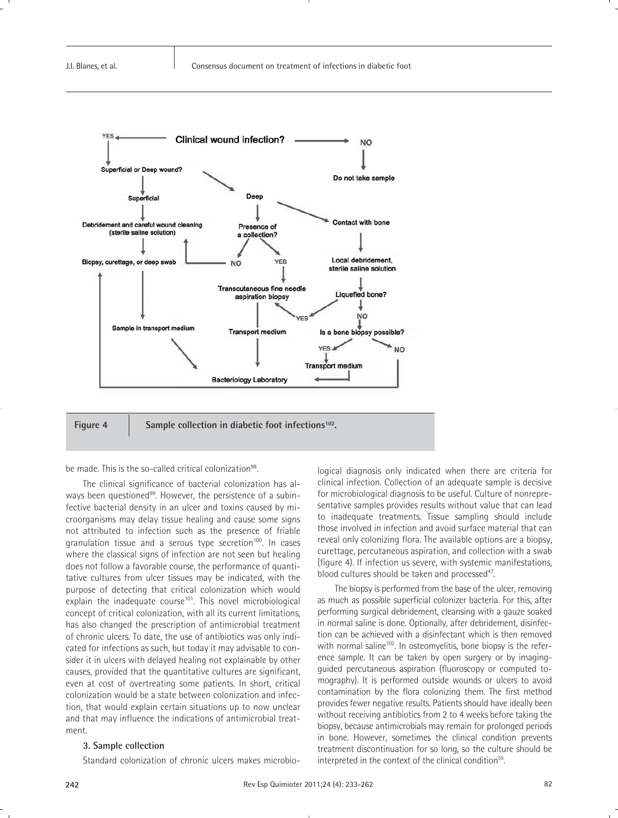

# Figure 4 Sample collection in diabetic foot infections<sup>102</sup>.

be made. This is the so-called critical colonization<sup>98</sup>.

The clinical significance of bacterial colonization has always been questioned<sup>99</sup>. However, the persistence of a subinfective bacterial density in an ulcer and toxins caused by microorganisms may delay tissue healing and cause some signs not attributed to infection such as the presence of friable granulation tissue and a serous type secretion<sup>100</sup>. In cases where the classical signs of infection are not seen but healing does not follow a favorable course, the performance of quantitative cultures from ulcer tissues may be indicated, with the purpose of detecting that critical colonization which would explain the inadequate course $101$ . This novel microbiological concept of critical colonization, with all its current limitations, has also changed the prescription of antimicrobial treatment of chronic ulcers. To date, the use of antibiotics was only indicated for infections as such, but today it may advisable to consider it in ulcers with delayed healing not explainable by other causes, provided that the quantitative cultures are significant, even at cost of overtreating some patients. In short, critical colonization would be a state between colonization and infection, that would explain certain situations up to now unclear and that may influence the indications of antimicrobial treatment.

#### **3. Sample collection**

Standard colonization of chronic ulcers makes microbio-

logical diagnosis only indicated when there are criteria for clinical infection. Collection of an adequate sample is decisive for microbiological diagnosis to be useful. Culture of nonrepresentative samples provides results without value that can lead to inadequate treatments. Tissue sampling should include those involved in infection and avoid surface material that can reveal only colonizing flora. The available options are a biopsy, curettage, percutaneous aspiration, and collection with a swab (figure 4). If infection us severe, with systemic manifestations, blood cultures should be taken and processed $47$ .

The biopsy is performed from the base of the ulcer, removing as much as possible superficial colonizer bacteria. For this, after performing surgical debridement, cleansing with a gauze soaked in normal saline is done. Optionally, after debridement, disinfection can be achieved with a disinfectant which is then removed with normal saline<sup>102</sup>. In osteomyelitis, bone biopsy is the reference sample. It can be taken by open surgery or by imagingguided percutaneous aspiration (fluoroscopy or computed tomography). It is performed outside wounds or ulcers to avoid contamination by the flora colonizing them. The first method provides fewer negative results. Patients should have ideally been without receiving antibiotics from 2 to 4 weeks before taking the biopsy, because antimicrobials may remain for prolonged periods in bone. However, sometimes the clinical condition prevents treatment discontinuation for so long, so the culture should be interpreted in the context of the clinical condition<sup>55</sup>.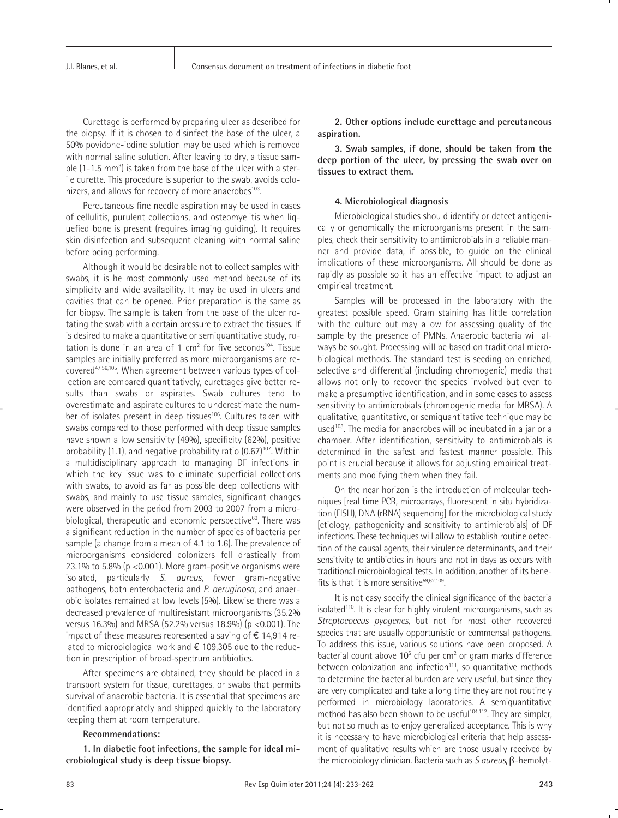Curettage is performed by preparing ulcer as described for the biopsy. If it is chosen to disinfect the base of the ulcer, a 50% povidone-iodine solution may be used which is removed with normal saline solution. After leaving to dry, a tissue sample (1-1.5 mm<sup>3</sup>) is taken from the base of the ulcer with a sterile curette. This procedure is superior to the swab, avoids colonizers, and allows for recovery of more anaerobes<sup>103</sup>.

Percutaneous fine needle aspiration may be used in cases of cellulitis, purulent collections, and osteomyelitis when liquefied bone is present (requires imaging guiding). It requires skin disinfection and subsequent cleaning with normal saline before being performing.

Although it would be desirable not to collect samples with swabs, it is he most commonly used method because of its simplicity and wide availability. It may be used in ulcers and cavities that can be opened. Prior preparation is the same as for biopsy. The sample is taken from the base of the ulcer rotating the swab with a certain pressure to extract the tissues. If is desired to make a quantitative or semiquantitative study, rotation is done in an area of 1 cm<sup>2</sup> for five seconds<sup>104</sup>. Tissue samples are initially preferred as more microorganisms are recovered<sup>47,56,105</sup>. When agreement between various types of collection are compared quantitatively, curettages give better results than swabs or aspirates. Swab cultures tend to overestimate and aspirate cultures to underestimate the number of isolates present in deep tissues<sup>106</sup>. Cultures taken with swabs compared to those performed with deep tissue samples have shown a low sensitivity (49%), specificity (62%), positive probability  $(1.1)$ , and negative probability ratio  $(0.67)^{107}$ . Within a multidisciplinary approach to managing DF infections in which the key issue was to eliminate superficial collections with swabs, to avoid as far as possible deep collections with swabs, and mainly to use tissue samples, significant changes were observed in the period from 2003 to 2007 from a microbiological, therapeutic and economic perspective $60$ . There was a significant reduction in the number of species of bacteria per sample (a change from a mean of 4.1 to 1.6). The prevalence of microorganisms considered colonizers fell drastically from 23.1% to 5.8% ( $p$  <0.001). More gram-positive organisms were isolated, particularly *S. aureus*, fewer gram-negative pathogens, both enterobacteria and *P. aeruginosa*, and anaerobic isolates remained at low levels (5%). Likewise there was a decreased prevalence of multiresistant microorganisms (35.2% versus 16.3%) and MRSA (52.2% versus 18.9%) (p <0.001). The impact of these measures represented a saving of  $\epsilon$  14,914 related to microbiological work and € 109,305 due to the reduction in prescription of broad-spectrum antibiotics.

After specimens are obtained, they should be placed in a transport system for tissue, curettages, or swabs that permits survival of anaerobic bacteria. It is essential that specimens are identified appropriately and shipped quickly to the laboratory keeping them at room temperature.

#### **Recommendations:**

**1. In diabetic foot infections, the sample for ideal microbiological study is deep tissue biopsy.**

**2. Other options include curettage and percutaneous aspiration.**

**3. Swab samples, if done, should be taken from the deep portion of the ulcer, by pressing the swab over on tissues to extract them.**

#### **4. Microbiological diagnosis**

Microbiological studies should identify or detect antigenically or genomically the microorganisms present in the samples, check their sensitivity to antimicrobials in a reliable manner and provide data, if possible, to guide on the clinical implications of these microorganisms. All should be done as rapidly as possible so it has an effective impact to adjust an empirical treatment.

Samples will be processed in the laboratory with the greatest possible speed. Gram staining has little correlation with the culture but may allow for assessing quality of the sample by the presence of PMNs. Anaerobic bacteria will always be sought. Processing will be based on traditional microbiological methods. The standard test is seeding on enriched, selective and differential (including chromogenic) media that allows not only to recover the species involved but even to make a presumptive identification, and in some cases to assess sensitivity to antimicrobials (chromogenic media for MRSA). A qualitative, quantitative, or semiquantitative technique may be used<sup>108</sup>. The media for anaerobes will be incubated in a jar or a chamber. After identification, sensitivity to antimicrobials is determined in the safest and fastest manner possible. This point is crucial because it allows for adjusting empirical treatments and modifying them when they fail.

On the near horizon is the introduction of molecular techniques [real time PCR, microarrays, fluorescent in situ hybridization (FISH), DNA (rRNA) sequencing] for the microbiological study [etiology, pathogenicity and sensitivity to antimicrobials] of DF infections. These techniques will allow to establish routine detection of the causal agents, their virulence determinants, and their sensitivity to antibiotics in hours and not in days as occurs with traditional microbiological tests. In addition, another of its benefits is that it is more sensitive $59,62,109$ .

It is not easy specify the clinical significance of the bacteria isolated<sup>110</sup>. It is clear for highly virulent microorganisms, such as *Streptococcus pyogenes,* but not for most other recovered species that are usually opportunistic or commensal pathogens. To address this issue, various solutions have been proposed. A bacterial count above  $10^5$  cfu per cm<sup>2</sup> or gram marks difference between colonization and infection $111$ , so quantitative methods to determine the bacterial burden are very useful, but since they are very complicated and take a long time they are not routinely performed in microbiology laboratories. A semiquantitative method has also been shown to be useful<sup>104,112</sup>. They are simpler, but not so much as to enjoy generalized acceptance. This is why it is necessary to have microbiological criteria that help assessment of qualitative results which are those usually received by the microbiology clinician. Bacteria such as *S aureus*, β-hemolyt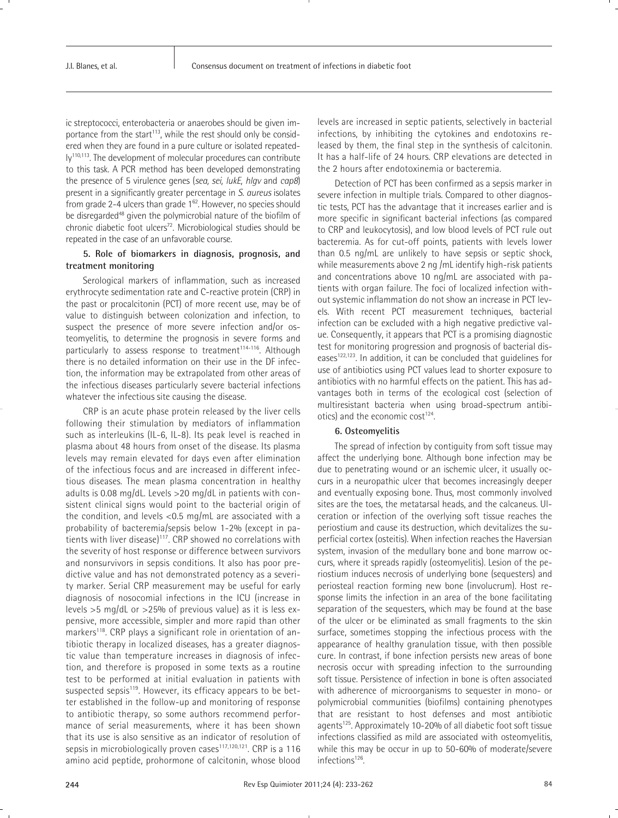ic streptococci, enterobacteria or anaerobes should be given importance from the start<sup>113</sup>, while the rest should only be considered when they are found in a pure culture or isolated repeatedly110,113. The development of molecular procedures can contribute to this task. A PCR method has been developed demonstrating the presence of 5 virulence genes (*sea, sei, lukE, hlgv* and *cap8*) present in a significantly greater percentage in *S. aureus* isolates from grade 2-4 ulcers than grade  $1^{62}$ . However, no species should be disregarded<sup>48</sup> given the polymicrobial nature of the biofilm of chronic diabetic foot ulcers<sup>72</sup>. Microbiological studies should be repeated in the case of an unfavorable course.

### **5. Role of biomarkers in diagnosis, prognosis, and treatment monitoring**

Serological markers of inflammation, such as increased erythrocyte sedimentation rate and C-reactive protein (CRP) in the past or procalcitonin (PCT) of more recent use, may be of value to distinguish between colonization and infection, to suspect the presence of more severe infection and/or osteomyelitis, to determine the prognosis in severe forms and particularly to assess response to treatment<sup>114-116</sup>. Although there is no detailed information on their use in the DF infection, the information may be extrapolated from other areas of the infectious diseases particularly severe bacterial infections whatever the infectious site causing the disease.

CRP is an acute phase protein released by the liver cells following their stimulation by mediators of inflammation such as interleukins (IL-6, IL-8). Its peak level is reached in plasma about 48 hours from onset of the disease. Its plasma levels may remain elevated for days even after elimination of the infectious focus and are increased in different infectious diseases. The mean plasma concentration in healthy adults is 0.08 mg/dL. Levels >20 mg/dL in patients with consistent clinical signs would point to the bacterial origin of the condition, and levels <0.5 mg/mL are associated with a probability of bacteremia/sepsis below 1-2% (except in patients with liver disease) $117$ . CRP showed no correlations with the severity of host response or difference between survivors and nonsurvivors in sepsis conditions. It also has poor predictive value and has not demonstrated potency as a severity marker. Serial CRP measurement may be useful for early diagnosis of nosocomial infections in the ICU (increase in levels >5 mg/dL or >25% of previous value) as it is less expensive, more accessible, simpler and more rapid than other markers<sup>118</sup>. CRP plays a significant role in orientation of antibiotic therapy in localized diseases, has a greater diagnostic value than temperature increases in diagnosis of infection, and therefore is proposed in some texts as a routine test to be performed at initial evaluation in patients with suspected sepsis<sup>119</sup>. However, its efficacy appears to be better established in the follow-up and monitoring of response to antibiotic therapy, so some authors recommend performance of serial measurements, where it has been shown that its use is also sensitive as an indicator of resolution of sepsis in microbiologically proven cases<sup>117,120,121</sup>. CRP is a 116 amino acid peptide, prohormone of calcitonin, whose blood

levels are increased in septic patients, selectively in bacterial infections, by inhibiting the cytokines and endotoxins released by them, the final step in the synthesis of calcitonin. It has a half-life of 24 hours. CRP elevations are detected in the 2 hours after endotoxinemia or bacteremia.

Detection of PCT has been confirmed as a sepsis marker in severe infection in multiple trials. Compared to other diagnostic tests, PCT has the advantage that it increases earlier and is more specific in significant bacterial infections (as compared to CRP and leukocytosis), and low blood levels of PCT rule out bacteremia. As for cut-off points, patients with levels lower than 0.5 ng/mL are unlikely to have sepsis or septic shock, while measurements above 2 ng /mL identify high-risk patients and concentrations above 10 ng/mL are associated with patients with organ failure. The foci of localized infection without systemic inflammation do not show an increase in PCT levels. With recent PCT measurement techniques, bacterial infection can be excluded with a high negative predictive value. Consequently, it appears that PCT is a promising diagnostic test for monitoring progression and prognosis of bacterial diseases122,123. In addition, it can be concluded that guidelines for use of antibiotics using PCT values lead to shorter exposure to antibiotics with no harmful effects on the patient. This has advantages both in terms of the ecological cost (selection of multiresistant bacteria when using broad-spectrum antibiotics) and the economic cost<sup>124</sup>.

#### **6. Osteomyelitis**

The spread of infection by contiguity from soft tissue may affect the underlying bone. Although bone infection may be due to penetrating wound or an ischemic ulcer, it usually occurs in a neuropathic ulcer that becomes increasingly deeper and eventually exposing bone. Thus, most commonly involved sites are the toes, the metatarsal heads, and the calcaneus. Ulceration or infection of the overlying soft tissue reaches the periostium and cause its destruction, which devitalizes the superficial cortex (osteitis). When infection reaches the Haversian system, invasion of the medullary bone and bone marrow occurs, where it spreads rapidly (osteomyelitis). Lesion of the periostium induces necrosis of underlying bone (sequesters) and periosteal reaction forming new bone (involucrum). Host response limits the infection in an area of the bone facilitating separation of the sequesters, which may be found at the base of the ulcer or be eliminated as small fragments to the skin surface, sometimes stopping the infectious process with the appearance of healthy granulation tissue, with then possible cure. In contrast, if bone infection persists new areas of bone necrosis occur with spreading infection to the surrounding soft tissue. Persistence of infection in bone is often associated with adherence of microorganisms to sequester in mono- or polymicrobial communities (biofilms) containing phenotypes that are resistant to host defenses and most antibiotic agents<sup>125</sup>. Approximately 10-20% of all diabetic foot soft tissue infections classified as mild are associated with osteomyelitis, while this may be occur in up to 50-60% of moderate/severe infections<sup>126</sup>.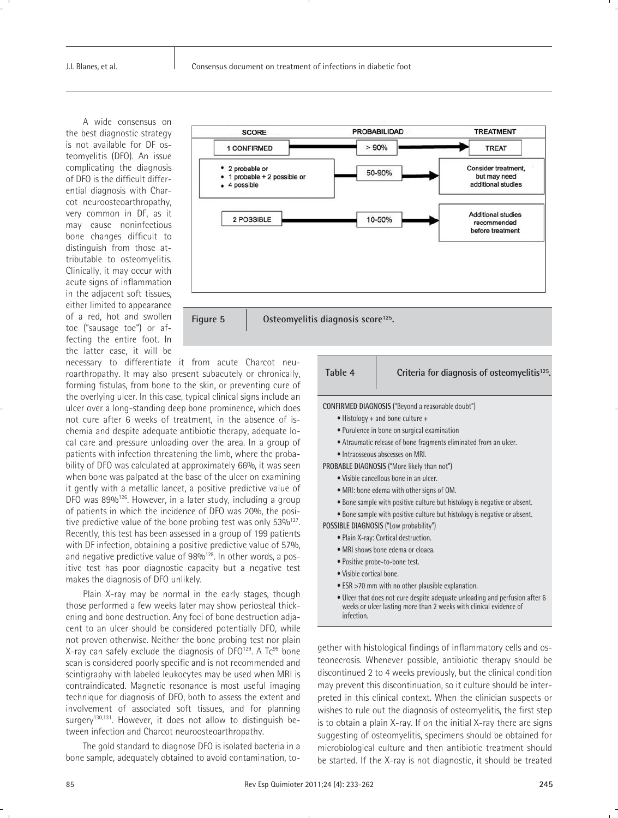A wide consensus on the best diagnostic strategy is not available for DF osteomyelitis (DFO). An issue complicating the diagnosis of DFO is the difficult differential diagnosis with Charcot neuroosteoarthropathy, very common in DF, as it may cause noninfectious bone changes difficult to distinguish from those attributable to osteomyelitis. Clinically, it may occur with acute signs of inflammation in the adjacent soft tissues, either limited to appearance of a red, hot and swollen toe ("sausage toe") or affecting the entire foot. In the latter case, it will be



necessary to differentiate it from acute Charcot neuroarthropathy. It may also present subacutely or chronically, forming fistulas, from bone to the skin, or preventing cure of the overlying ulcer. In this case, typical clinical signs include an ulcer over a long-standing deep bone prominence, which does not cure after 6 weeks of treatment, in the absence of ischemia and despite adequate antibiotic therapy, adequate local care and pressure unloading over the area. In a group of patients with infection threatening the limb, where the probability of DFO was calculated at approximately 66%, it was seen when bone was palpated at the base of the ulcer on examining it gently with a metallic lancet, a positive predictive value of DFO was 89%<sup>126</sup>. However, in a later study, including a group of patients in which the incidence of DFO was 20%, the positive predictive value of the bone probing test was only  $53\%^{127}$ . Recently, this test has been assessed in a group of 199 patients with DF infection, obtaining a positive predictive value of 57%, and negative predictive value of 98%<sup>128</sup>. In other words, a positive test has poor diagnostic capacity but a negative test makes the diagnosis of DFO unlikely.

Plain X-ray may be normal in the early stages, though those performed a few weeks later may show periosteal thickening and bone destruction. Any foci of bone destruction adjacent to an ulcer should be considered potentially DFO, while not proven otherwise. Neither the bone probing test nor plain X-ray can safely exclude the diagnosis of DFO<sup>129</sup>. A Tc<sup>99</sup> bone scan is considered poorly specific and is not recommended and scintigraphy with labeled leukocytes may be used when MRI is contraindicated. Magnetic resonance is most useful imaging technique for diagnosis of DFO, both to assess the extent and involvement of associated soft tissues, and for planning surgery<sup>130,131</sup>. However, it does not allow to distinguish between infection and Charcot neuroosteoarthropathy.

The gold standard to diagnose DFO is isolated bacteria in a bone sample, adequately obtained to avoid contamination, to-

# **Table 4 Criteria for diagnosis of osteomyelitis125.**

**CONFIRMED DIAGNOSIS** ("Beyond a reasonable doubt")

- Histology + and bone culture +
- Purulence in bone on surgical examination
- Atraumatic release of bone fragments eliminated from an ulcer.
- Intraosseous abscesses on MRI.
- **PROBABLE DIAGNOSIS** ("More likely than not")
	- Visible cancellous bone in an ulcer.
	- MRI: bone edema with other signs of OM.
	- Bone sample with positive culture but histology is negative or absent.
	- Bone sample with positive culture but histology is negative or absent.

**POSSIBLE DIAGNOSIS** ("Low probability")

- Plain X-ray: Cortical destruction.
- MRI shows bone edema or cloaca.
- Positive probe-to-bone test.
- Visible cortical bone.
- ESR >70 mm with no other plausible explanation.
- Ulcer that does not cure despite adequate unloading and perfusion after 6 weeks or ulcer lasting more than 2 weeks with clinical evidence of infection.

gether with histological findings of inflammatory cells and osteonecrosis. Whenever possible, antibiotic therapy should be discontinued 2 to 4 weeks previously, but the clinical condition may prevent this discontinuation, so it culture should be interpreted in this clinical context. When the clinician suspects or wishes to rule out the diagnosis of osteomyelitis, the first step is to obtain a plain X-ray. If on the initial X-ray there are signs suggesting of osteomyelitis, specimens should be obtained for microbiological culture and then antibiotic treatment should be started. If the X-ray is not diagnostic, it should be treated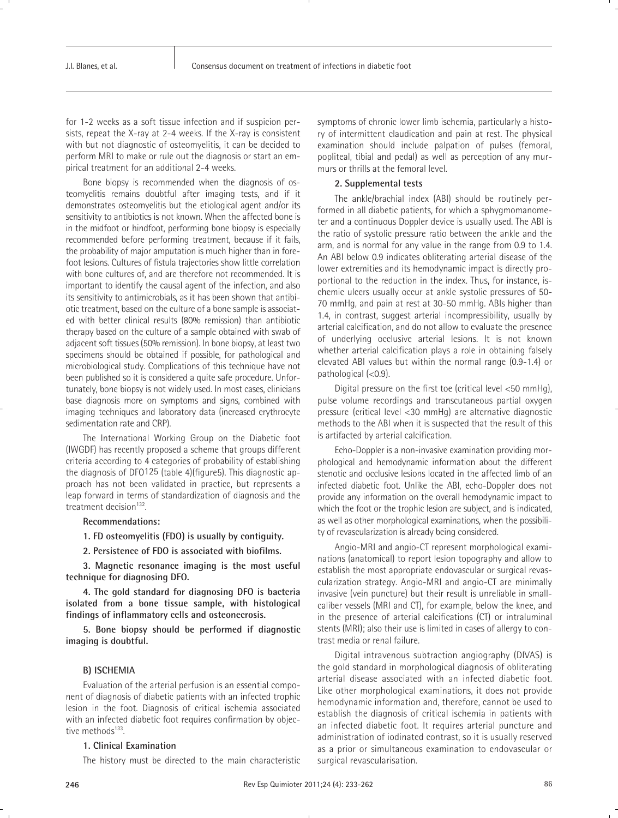for 1-2 weeks as a soft tissue infection and if suspicion persists, repeat the X-ray at 2-4 weeks. If the X-ray is consistent with but not diagnostic of osteomyelitis, it can be decided to perform MRI to make or rule out the diagnosis or start an empirical treatment for an additional 2-4 weeks.

Bone biopsy is recommended when the diagnosis of osteomyelitis remains doubtful after imaging tests, and if it demonstrates osteomyelitis but the etiological agent and/or its sensitivity to antibiotics is not known. When the affected bone is in the midfoot or hindfoot, performing bone biopsy is especially recommended before performing treatment, because if it fails, the probability of major amputation is much higher than in forefoot lesions. Cultures of fistula trajectories show little correlation with bone cultures of, and are therefore not recommended. It is important to identify the causal agent of the infection, and also its sensitivity to antimicrobials, as it has been shown that antibiotic treatment, based on the culture of a bone sample is associated with better clinical results (80% remission) than antibiotic therapy based on the culture of a sample obtained with swab of adjacent soft tissues (50% remission). In bone biopsy, at least two specimens should be obtained if possible, for pathological and microbiological study. Complications of this technique have not been published so it is considered a quite safe procedure. Unfortunately, bone biopsy is not widely used. In most cases, clinicians base diagnosis more on symptoms and signs, combined with imaging techniques and laboratory data (increased erythrocyte sedimentation rate and CRP).

The International Working Group on the Diabetic foot (IWGDF) has recently proposed a scheme that groups different criteria according to 4 categories of probability of establishing the diagnosis of DFO125 (table 4)(figure5). This diagnostic approach has not been validated in practice, but represents a leap forward in terms of standardization of diagnosis and the treatment decision<sup>132</sup>.

#### **Recommendations:**

**1. FD osteomyelitis (FDO) is usually by contiguity.**

**2. Persistence of FDO is associated with biofilms.**

**3. Magnetic resonance imaging is the most useful technique for diagnosing DFO.**

**4. The gold standard for diagnosing DFO is bacteria isolated from a bone tissue sample, with histological findings of inflammatory cells and osteonecrosis.**

**5. Bone biopsy should be performed if diagnostic imaging is doubtful.**

#### **B) ISCHEMIA**

Evaluation of the arterial perfusion is an essential component of diagnosis of diabetic patients with an infected trophic lesion in the foot. Diagnosis of critical ischemia associated with an infected diabetic foot requires confirmation by objective methods<sup>133</sup>.

#### **1. Clinical Examination**

The history must be directed to the main characteristic

symptoms of chronic lower limb ischemia, particularly a history of intermittent claudication and pain at rest. The physical examination should include palpation of pulses (femoral, popliteal, tibial and pedal) as well as perception of any murmurs or thrills at the femoral level.

#### **2. Supplemental tests**

The ankle/brachial index (ABI) should be routinely performed in all diabetic patients, for which a sphygmomanometer and a continuous Doppler device is usually used. The ABI is the ratio of systolic pressure ratio between the ankle and the arm, and is normal for any value in the range from 0.9 to 1.4. An ABI below 0.9 indicates obliterating arterial disease of the lower extremities and its hemodynamic impact is directly proportional to the reduction in the index. Thus, for instance, ischemic ulcers usually occur at ankle systolic pressures of 50- 70 mmHg, and pain at rest at 30-50 mmHg. ABIs higher than 1.4, in contrast, suggest arterial incompressibility, usually by arterial calcification, and do not allow to evaluate the presence of underlying occlusive arterial lesions. It is not known whether arterial calcification plays a role in obtaining falsely elevated ABI values but within the normal range (0.9-1.4) or pathological (<0.9).

Digital pressure on the first toe (critical level <50 mmHg), pulse volume recordings and transcutaneous partial oxygen pressure (critical level <30 mmHg) are alternative diagnostic methods to the ABI when it is suspected that the result of this is artifacted by arterial calcification.

Echo-Doppler is a non-invasive examination providing morphological and hemodynamic information about the different stenotic and occlusive lesions located in the affected limb of an infected diabetic foot. Unlike the ABI, echo-Doppler does not provide any information on the overall hemodynamic impact to which the foot or the trophic lesion are subject, and is indicated, as well as other morphological examinations, when the possibility of revascularization is already being considered.

Angio-MRI and angio-CT represent morphological examinations (anatomical) to report lesion topography and allow to establish the most appropriate endovascular or surgical revascularization strategy. Angio-MRI and angio-CT are minimally invasive (vein puncture) but their result is unreliable in smallcaliber vessels (MRI and CT), for example, below the knee, and in the presence of arterial calcifications (CT) or intraluminal stents (MRI); also their use is limited in cases of allergy to contrast media or renal failure.

Digital intravenous subtraction angiography (DIVAS) is the gold standard in morphological diagnosis of obliterating arterial disease associated with an infected diabetic foot. Like other morphological examinations, it does not provide hemodynamic information and, therefore, cannot be used to establish the diagnosis of critical ischemia in patients with an infected diabetic foot. It requires arterial puncture and administration of iodinated contrast, so it is usually reserved as a prior or simultaneous examination to endovascular or surgical revascularisation.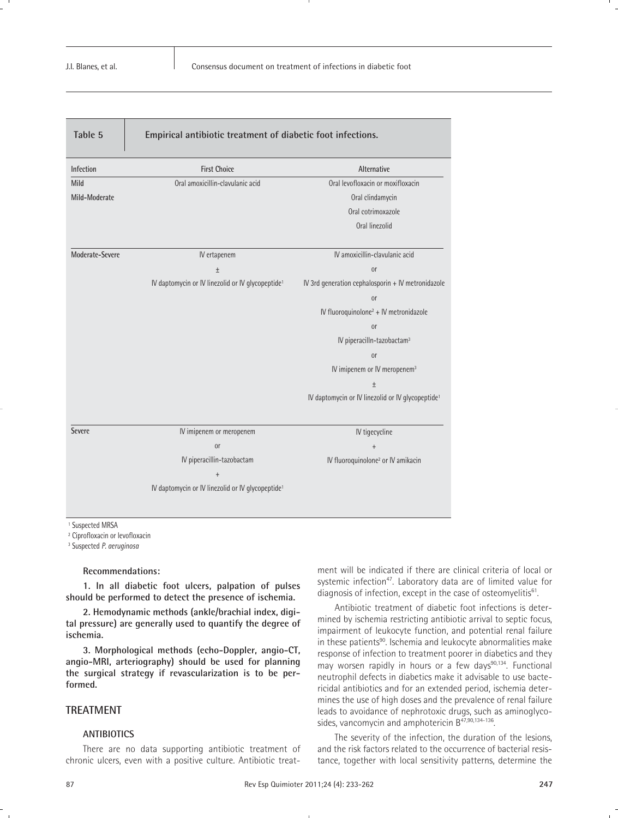| Table 5         | Empirical antibiotic treatment of diabetic foot infections.   |                                                               |
|-----------------|---------------------------------------------------------------|---------------------------------------------------------------|
| Infection       | <b>First Choice</b>                                           | Alternative                                                   |
| Mild            | Oral amoxicillin-clavulanic acid                              | Oral levofloxacin or moxifloxacin                             |
| Mild-Moderate   |                                                               | Oral clindamycin                                              |
|                 |                                                               | Oral cotrimoxazole                                            |
|                 |                                                               | Oral linezolid                                                |
| Moderate-Severe | IV ertapenem                                                  | IV amoxicillin-clavulanic acid                                |
|                 | $\pm$                                                         | <sub>or</sub>                                                 |
|                 | IV daptomycin or IV linezolid or IV glycopeptide <sup>1</sup> | IV 3rd generation cephalosporin + IV metronidazole            |
|                 |                                                               | <sub>or</sub>                                                 |
|                 |                                                               | IV fluoroquinolone <sup>2</sup> + IV metronidazole            |
|                 |                                                               | <sub>0r</sub>                                                 |
|                 |                                                               | IV piperacilln-tazobactam <sup>3</sup>                        |
|                 |                                                               | <sub>or</sub>                                                 |
|                 |                                                               | IV imipenem or IV meropenem <sup>3</sup>                      |
|                 |                                                               | $\pm$                                                         |
|                 |                                                               | IV daptomycin or IV linezolid or IV glycopeptide <sup>1</sup> |
| <b>Severe</b>   | IV imipenem or meropenem                                      | IV tigecycline                                                |
|                 | <sub>or</sub>                                                 | $\ddot{}$                                                     |
|                 | IV piperacillin-tazobactam                                    | IV fluoroquinolone <sup>2</sup> or IV amikacin                |
|                 | $\ddot{}$                                                     |                                                               |
|                 | IV daptomycin or IV linezolid or IV glycopeptide <sup>1</sup> |                                                               |
|                 |                                                               |                                                               |

<sup>1</sup> Suspected MRSA

<sup>2</sup> Ciprofloxacin or levofloxacin

<sup>3</sup> Suspected *P. aeruginosa*

#### **Recommendations:**

**1. In all diabetic foot ulcers, palpation of pulses should be performed to detect the presence of ischemia.**

**2. Hemodynamic methods (ankle/brachial index, digital pressure) are generally used to quantify the degree of ischemia.**

**3. Morphological methods (echo-Doppler, angio-CT, angio-MRI, arteriography) should be used for planning the surgical strategy if revascularization is to be performed.**

# **TREATMENT**

#### **ANTIBIOTICS**

There are no data supporting antibiotic treatment of chronic ulcers, even with a positive culture. Antibiotic treatment will be indicated if there are clinical criteria of local or systemic infection<sup>47</sup>. Laboratory data are of limited value for diagnosis of infection, except in the case of osteomyelitis $61$ .

Antibiotic treatment of diabetic foot infections is determined by ischemia restricting antibiotic arrival to septic focus, impairment of leukocyte function, and potential renal failure in these patients<sup>90</sup>. Ischemia and leukocyte abnormalities make response of infection to treatment poorer in diabetics and they may worsen rapidly in hours or a few days<sup>90,134</sup>. Functional neutrophil defects in diabetics make it advisable to use bactericidal antibiotics and for an extended period, ischemia determines the use of high doses and the prevalence of renal failure leads to avoidance of nephrotoxic drugs, such as aminoglycosides, vancomycin and amphotericin B<sup>47,90,134-136</sup>.

The severity of the infection, the duration of the lesions, and the risk factors related to the occurrence of bacterial resistance, together with local sensitivity patterns, determine the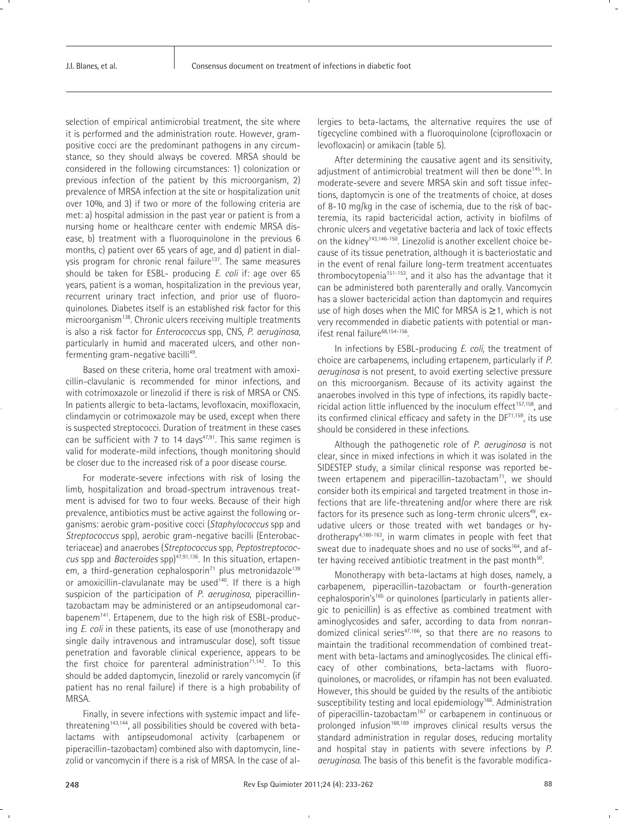selection of empirical antimicrobial treatment, the site where it is performed and the administration route. However, grampositive cocci are the predominant pathogens in any circumstance, so they should always be covered. MRSA should be considered in the following circumstances: 1) colonization or previous infection of the patient by this microorganism, 2) prevalence of MRSA infection at the site or hospitalization unit over 10%, and 3) if two or more of the following criteria are met: a) hospital admission in the past year or patient is from a nursing home or healthcare center with endemic MRSA disease, b) treatment with a fluoroquinolone in the previous 6 months, c) patient over 65 years of age, and d) patient in dialysis program for chronic renal failure<sup>137</sup>. The same measures should be taken for ESBL- producing *E. coli* if: age over 65 years, patient is a woman, hospitalization in the previous year, recurrent urinary tract infection, and prior use of fluoroquinolones. Diabetes itself is an established risk factor for this microorganism<sup>138</sup>. Chronic ulcers receiving multiple treatments is also a risk factor for *Enterococcus* spp, CNS, *P. aeruginosa*, particularly in humid and macerated ulcers, and other nonfermenting gram-negative bacilli<sup>49</sup>.

Based on these criteria, home oral treatment with amoxicillin-clavulanic is recommended for minor infections, and with cotrimoxazole or linezolid if there is risk of MRSA or CNS. In patients allergic to beta-lactams, levofloxacin, moxifloxacin, clindamycin or cotrimoxazole may be used, except when there is suspected streptococci. Duration of treatment in these cases can be sufficient with 7 to 14 days $47,91$ . This same regimen is valid for moderate-mild infections, though monitoring should be closer due to the increased risk of a poor disease course.

For moderate-severe infections with risk of losing the limb, hospitalization and broad-spectrum intravenous treatment is advised for two to four weeks. Because of their high prevalence, antibiotics must be active against the following organisms: aerobic gram-positive cocci (*Staphylococcus* spp and *Streptococcus* spp), aerobic gram-negative bacilli (Enterobacteriaceae) and anaerobes (*Streptococcus* spp*, Peptostreptococcus* spp and *Bacteroides* spp)47,91,136. In this situation, ertapenem, a third-generation cephalosporin $71$  plus metronidazole<sup>139</sup> or amoxicillin-clavulanate may be used<sup>140</sup>. If there is a high suspicion of the participation of *P. aeruginosa*, piperacillintazobactam may be administered or an antipseudomonal carbapenem141. Ertapenem, due to the high risk of ESBL-producing *E. coli* in these patients, its ease of use (monotherapy and single daily intravenous and intramuscular dose), soft tissue penetration and favorable clinical experience, appears to be the first choice for parenteral administration<sup>71,142</sup>. To this should be added daptomycin, linezolid or rarely vancomycin (if patient has no renal failure) if there is a high probability of MRSA.

Finally, in severe infections with systemic impact and lifethreatening<sup>143,144</sup>, all possibilities should be covered with betalactams with antipseudomonal activity (carbapenem or piperacillin-tazobactam) combined also with daptomycin, linezolid or vancomycin if there is a risk of MRSA. In the case of allergies to beta-lactams, the alternative requires the use of tigecycline combined with a fluoroquinolone (ciprofloxacin or levofloxacin) or amikacin (table 5).

After determining the causative agent and its sensitivity, adjustment of antimicrobial treatment will then be done<sup>145</sup>. In moderate-severe and severe MRSA skin and soft tissue infections, daptomycin is one of the treatments of choice, at doses of 8-10 mg/kg in the case of ischemia, due to the risk of bacteremia, its rapid bactericidal action, activity in biofilms of chronic ulcers and vegetative bacteria and lack of toxic effects on the kidney143,146-150. Linezolid is another excellent choice because of its tissue penetration, although it is bacteriostatic and in the event of renal failure long-term treatment accentuates thrombocytopenia<sup>151-153</sup>, and it also has the advantage that it can be administered both parenterally and orally. Vancomycin has a slower bactericidal action than daptomycin and requires use of high doses when the MIC for MRSA is ≥1, which is not very recommended in diabetic patients with potential or manifest renal failure<sup>68,154-156</sup>.

In infections by ESBL-producing *E. coli*, the treatment of choice are carbapenems, including ertapenem, particularly if *P. aeruginosa* is not present, to avoid exerting selective pressure on this microorganism. Because of its activity against the anaerobes involved in this type of infections, its rapidly bactericidal action little influenced by the inoculum effect $157,158$ , and its confirmed clinical efficacy and safety in the  $DF^{71,159}$ , its use should be considered in these infections.

Although the pathogenetic role of *P. aeruginosa* is not clear, since in mixed infections in which it was isolated in the SIDESTEP study, a similar clinical response was reported between ertapenem and piperacillin-tazobactam $71$ , we should consider both its empirical and targeted treatment in those infections that are life-threatening and/or where there are risk factors for its presence such as long-term chronic ulcers<sup>49</sup>, exudative ulcers or those treated with wet bandages or hydrotherapy4,160-163, in warm climates in people with feet that sweat due to inadequate shoes and no use of socks<sup>164</sup>, and after having received antibiotic treatment in the past month<sup>50</sup>.

Monotherapy with beta-lactams at high doses, namely, a carbapenem, piperacillin-tazobactam or fourth-generation cephalosporin's<sup>165</sup> or quinolones (particularly in patients allergic to penicillin) is as effective as combined treatment with aminoglycosides and safer, according to data from nonrandomized clinical series<sup>47,166</sup>, so that there are no reasons to maintain the traditional recommendation of combined treatment with beta-lactams and aminoglycosides. The clinical efficacy of other combinations, beta-lactams with fluoroquinolones, or macrolides, or rifampin has not been evaluated. However, this should be guided by the results of the antibiotic susceptibility testing and local epidemiology<sup>166</sup>. Administration of piperacillin-tazobactam<sup>167</sup> or carbapenem in continuous or prolonged infusion<sup>168,169</sup> improves clinical results versus the standard administration in regular doses, reducing mortality and hospital stay in patients with severe infections by *P. aeruginosa*. The basis of this benefit is the favorable modifica-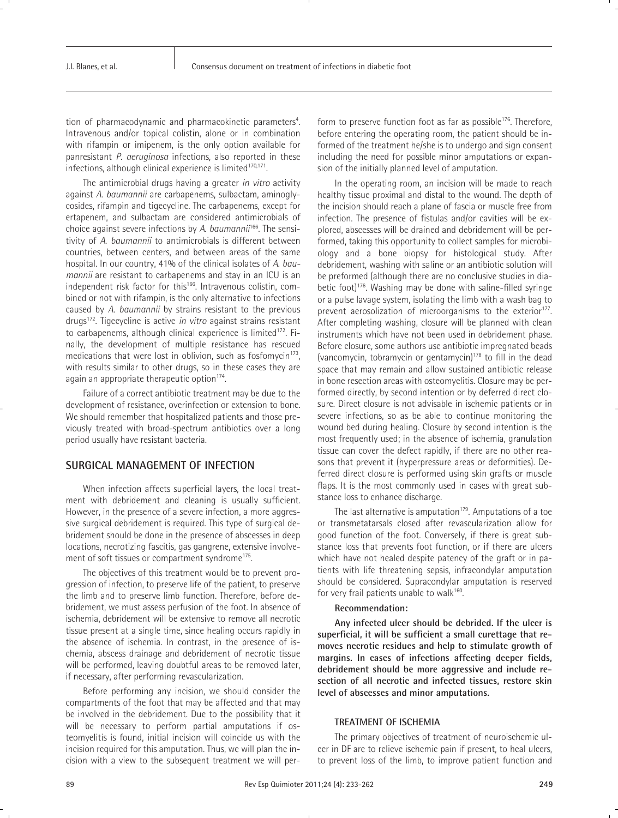tion of pharmacodynamic and pharmacokinetic parameters<sup>4</sup>. . Intravenous and/or topical colistin, alone or in combination with rifampin or imipenem, is the only option available for panresistant *P. aeruginosa* infections, also reported in these infections, although clinical experience is limited<sup>170,171</sup>.

The antimicrobial drugs having a greater *in vitro* activity against *A. baumannii* are carbapenems, sulbactam, aminoglycosides, rifampin and tigecycline. The carbapenems, except for ertapenem, and sulbactam are considered antimicrobials of choice against severe infections by *A. baumannii*166. The sensitivity of *A. baumannii* to antimicrobials is different between countries, between centers, and between areas of the same hospital. In our country, 41% of the clinical isolates of *A. baumannii* are resistant to carbapenems and stay in an ICU is an independent risk factor for this<sup>166</sup>. Intravenous colistin, combined or not with rifampin, is the only alternative to infections caused by *A. baumannii* by strains resistant to the previous drugs172. Tigecycline is active *in vitro* against strains resistant to carbapenems, although clinical experience is limited<sup>172</sup>. Finally, the development of multiple resistance has rescued medications that were lost in oblivion, such as fosfomycin<sup>173</sup>, with results similar to other drugs, so in these cases they are again an appropriate therapeutic option<sup>174</sup>.

Failure of a correct antibiotic treatment may be due to the development of resistance, overinfection or extension to bone. We should remember that hospitalized patients and those previously treated with broad-spectrum antibiotics over a long period usually have resistant bacteria.

# **SURGICAL MANAGEMENT OF INFECTION**

When infection affects superficial layers, the local treatment with debridement and cleaning is usually sufficient. However, in the presence of a severe infection, a more aggressive surgical debridement is required. This type of surgical debridement should be done in the presence of abscesses in deep locations, necrotizing fascitis, gas gangrene, extensive involvement of soft tissues or compartment syndrome<sup>175</sup>.

The objectives of this treatment would be to prevent progression of infection, to preserve life of the patient, to preserve the limb and to preserve limb function. Therefore, before debridement, we must assess perfusion of the foot. In absence of ischemia, debridement will be extensive to remove all necrotic tissue present at a single time, since healing occurs rapidly in the absence of ischemia. In contrast, in the presence of ischemia, abscess drainage and debridement of necrotic tissue will be performed, leaving doubtful areas to be removed later, if necessary, after performing revascularization.

Before performing any incision, we should consider the compartments of the foot that may be affected and that may be involved in the debridement. Due to the possibility that it will be necessary to perform partial amputations if osteomyelitis is found, initial incision will coincide us with the incision required for this amputation. Thus, we will plan the incision with a view to the subsequent treatment we will perform to preserve function foot as far as possible<sup>176</sup>. Therefore, before entering the operating room, the patient should be informed of the treatment he/she is to undergo and sign consent including the need for possible minor amputations or expansion of the initially planned level of amputation.

In the operating room, an incision will be made to reach healthy tissue proximal and distal to the wound. The depth of the incision should reach a plane of fascia or muscle free from infection. The presence of fistulas and/or cavities will be explored, abscesses will be drained and debridement will be performed, taking this opportunity to collect samples for microbiology and a bone biopsy for histological study. After debridement, washing with saline or an antibiotic solution will be preformed (although there are no conclusive studies in diabetic foot)<sup>176</sup>. Washing may be done with saline-filled syringe or a pulse lavage system, isolating the limb with a wash bag to prevent aerosolization of microorganisms to the exterior<sup>177</sup>. After completing washing, closure will be planned with clean instruments which have not been used in debridement phase. Before closure, some authors use antibiotic impregnated beads (vancomycin, tobramycin or gentamycin)178 to fill in the dead space that may remain and allow sustained antibiotic release in bone resection areas with osteomyelitis. Closure may be performed directly, by second intention or by deferred direct closure. Direct closure is not advisable in ischemic patients or in severe infections, so as be able to continue monitoring the wound bed during healing. Closure by second intention is the most frequently used; in the absence of ischemia, granulation tissue can cover the defect rapidly, if there are no other reasons that prevent it (hyperpressure areas or deformities). Deferred direct closure is performed using skin grafts or muscle flaps. It is the most commonly used in cases with great substance loss to enhance discharge.

The last alternative is amputation<sup>179</sup>. Amputations of a toe or transmetatarsals closed after revascularization allow for good function of the foot. Conversely, if there is great substance loss that prevents foot function, or if there are ulcers which have not healed despite patency of the graft or in patients with life threatening sepsis, infracondylar amputation should be considered. Supracondylar amputation is reserved for very frail patients unable to walk<sup>160</sup>.

#### **Recommendation:**

**Any infected ulcer should be debrided. If the ulcer is superficial, it will be sufficient a small curettage that removes necrotic residues and help to stimulate growth of margins. In cases of infections affecting deeper fields, debridement should be more aggressive and include resection of all necrotic and infected tissues, restore skin level of abscesses and minor amputations.**

#### **TREATMENT OF ISCHEMIA**

The primary objectives of treatment of neuroischemic ulcer in DF are to relieve ischemic pain if present, to heal ulcers, to prevent loss of the limb, to improve patient function and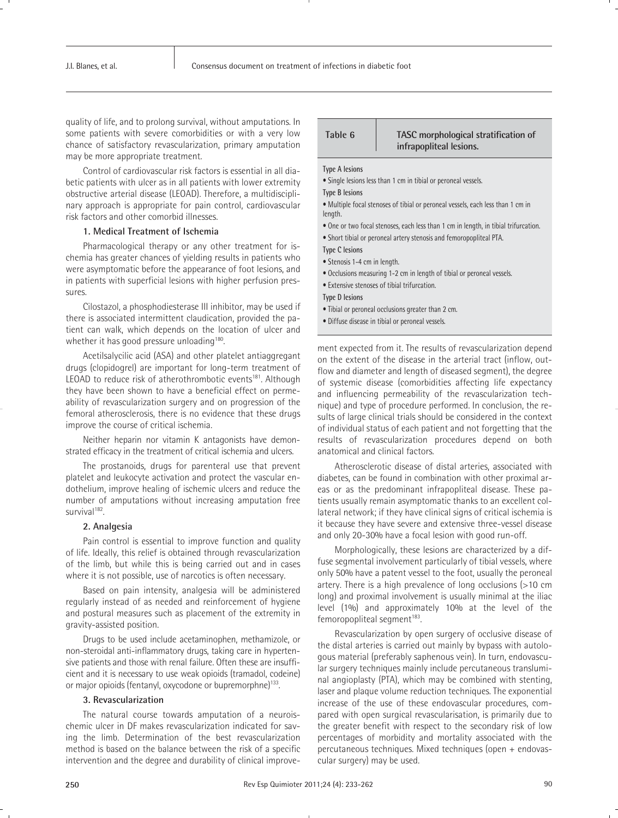quality of life, and to prolong survival, without amputations. In some patients with severe comorbidities or with a very low chance of satisfactory revascularization, primary amputation may be more appropriate treatment.

Control of cardiovascular risk factors is essential in all diabetic patients with ulcer as in all patients with lower extremity obstructive arterial disease (LEOAD). Therefore, a multidisciplinary approach is appropriate for pain control, cardiovascular risk factors and other comorbid illnesses.

#### **1. Medical Treatment of Ischemia**

Pharmacological therapy or any other treatment for ischemia has greater chances of yielding results in patients who were asymptomatic before the appearance of foot lesions, and in patients with superficial lesions with higher perfusion pressures.

Cilostazol, a phosphodiesterase III inhibitor, may be used if there is associated intermittent claudication, provided the patient can walk, which depends on the location of ulcer and whether it has good pressure unloading<sup>180</sup>.

Acetilsalycilic acid (ASA) and other platelet antiaggregant drugs (clopidogrel) are important for long-term treatment of LEOAD to reduce risk of atherothrombotic events<sup>181</sup>. Although they have been shown to have a beneficial effect on permeability of revascularization surgery and on progression of the femoral atherosclerosis, there is no evidence that these drugs improve the course of critical ischemia.

Neither heparin nor vitamin K antagonists have demonstrated efficacy in the treatment of critical ischemia and ulcers.

The prostanoids, drugs for parenteral use that prevent platelet and leukocyte activation and protect the vascular endothelium, improve healing of ischemic ulcers and reduce the number of amputations without increasing amputation free survival<sup>182</sup>.

#### **2. Analgesia**

Pain control is essential to improve function and quality of life. Ideally, this relief is obtained through revascularization of the limb, but while this is being carried out and in cases where it is not possible, use of narcotics is often necessary.

Based on pain intensity, analgesia will be administered regularly instead of as needed and reinforcement of hygiene and postural measures such as placement of the extremity in gravity-assisted position.

Drugs to be used include acetaminophen, methamizole, or non-steroidal anti-inflammatory drugs, taking care in hypertensive patients and those with renal failure. Often these are insufficient and it is necessary to use weak opioids (tramadol, codeine) or major opioids (fentanyl, oxycodone or bupremorphne)<sup>133</sup>.

#### **3. Revascularization**

The natural course towards amputation of a neuroischemic ulcer in DF makes revascularization indicated for saving the limb. Determination of the best revascularization method is based on the balance between the risk of a specific intervention and the degree and durability of clinical improve-

| Table 6 | TASC morphological stratification of |
|---------|--------------------------------------|
|         | infrapopliteal lesions.              |

#### **Type A lesions**

• Single lesions less than 1 cm in tibial or peroneal vessels.

**Type B lesions**

• Multiple focal stenoses of tibial or peroneal vessels, each less than 1 cm in length.

- One or two focal stenoses, each less than 1 cm in length, in tibial trifurcation.
- Short tibial or peroneal artery stenosis and femoropopliteal PTA.

**Type C lesions**

- Stenosis 1-4 cm in length.
- Occlusions measuring 1-2 cm in length of tibial or peroneal vessels.
- Extensive stenoses of tibial trifurcation.

#### **Type D lesions**

- Tibial or peroneal occlusions greater than 2 cm.
- Diffuse disease in tibial or peroneal vessels.

ment expected from it. The results of revascularization depend on the extent of the disease in the arterial tract (inflow, outflow and diameter and length of diseased segment), the degree of systemic disease (comorbidities affecting life expectancy and influencing permeability of the revascularization technique) and type of procedure performed. In conclusion, the results of large clinical trials should be considered in the context of individual status of each patient and not forgetting that the results of revascularization procedures depend on both anatomical and clinical factors.

Atherosclerotic disease of distal arteries, associated with diabetes, can be found in combination with other proximal areas or as the predominant infrapopliteal disease. These patients usually remain asymptomatic thanks to an excellent collateral network; if they have clinical signs of critical ischemia is it because they have severe and extensive three-vessel disease and only 20-30% have a focal lesion with good run-off.

Morphologically, these lesions are characterized by a diffuse segmental involvement particularly of tibial vessels, where only 50% have a patent vessel to the foot, usually the peroneal artery. There is a high prevalence of long occlusions (>10 cm long) and proximal involvement is usually minimal at the iliac level (1%) and approximately 10% at the level of the femoropopliteal segment<sup>183</sup>.

Revascularization by open surgery of occlusive disease of the distal arteries is carried out mainly by bypass with autologous material (preferably saphenous vein). In turn, endovascular surgery techniques mainly include percutaneous transluminal angioplasty (PTA), which may be combined with stenting, laser and plaque volume reduction techniques. The exponential increase of the use of these endovascular procedures, compared with open surgical revascularisation, is primarily due to the greater benefit with respect to the secondary risk of low percentages of morbidity and mortality associated with the percutaneous techniques. Mixed techniques (open + endovascular surgery) may be used.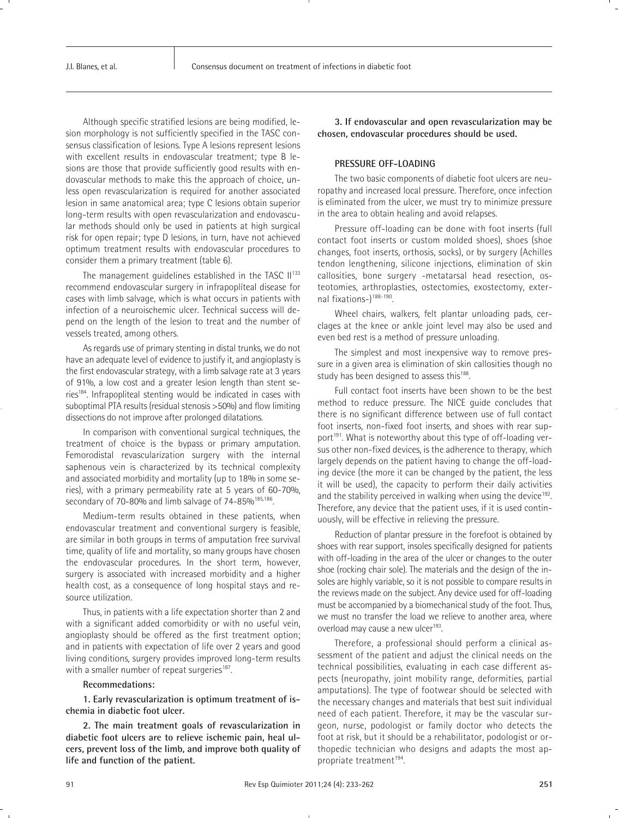Although specific stratified lesions are being modified, lesion morphology is not sufficiently specified in the TASC consensus classification of lesions. Type A lesions represent lesions with excellent results in endovascular treatment; type B lesions are those that provide sufficiently good results with endovascular methods to make this the approach of choice, unless open revascularization is required for another associated lesion in same anatomical area; type C lesions obtain superior long-term results with open revascularization and endovascular methods should only be used in patients at high surgical risk for open repair; type D lesions, in turn, have not achieved optimum treatment results with endovascular procedures to consider them a primary treatment (table 6).

The management guidelines established in the TASC II<sup>133</sup> recommend endovascular surgery in infrapoplíteal disease for cases with limb salvage, which is what occurs in patients with infection of a neuroischemic ulcer. Technical success will depend on the length of the lesion to treat and the number of vessels treated, among others.

As regards use of primary stenting in distal trunks, we do not have an adequate level of evidence to justify it, and angioplasty is the first endovascular strategy, with a limb salvage rate at 3 years of 91%, a low cost and a greater lesion length than stent series<sup>184</sup>. Infrapopliteal stenting would be indicated in cases with suboptimal PTA results (residual stenosis >50%) and flow limiting dissections do not improve after prolonged dilatations.

In comparison with conventional surgical techniques, the treatment of choice is the bypass or primary amputation. Femorodistal revascularization surgery with the internal saphenous vein is characterized by its technical complexity and associated morbidity and mortality (up to 18% in some series), with a primary permeability rate at 5 years of 60-70%, secondary of 70-80% and limb salvage of 74-85%<sup>185,186</sup>.

Medium-term results obtained in these patients, when endovascular treatment and conventional surgery is feasible, are similar in both groups in terms of amputation free survival time, quality of life and mortality, so many groups have chosen the endovascular procedures. In the short term, however, surgery is associated with increased morbidity and a higher health cost, as a consequence of long hospital stays and resource utilization.

Thus, in patients with a life expectation shorter than 2 and with a significant added comorbidity or with no useful vein, angioplasty should be offered as the first treatment option; and in patients with expectation of life over 2 years and good living conditions, surgery provides improved long-term results with a smaller number of repeat surgeries<sup>187</sup>.

#### **Recommedations:**

**1. Early revascularization is optimum treatment of ischemia in diabetic foot ulcer.**

**2. The main treatment goals of revascularization in diabetic foot ulcers are to relieve ischemic pain, heal ulcers, prevent loss of the limb, and improve both quality of life and function of the patient.**

**3. If endovascular and open revascularization may be chosen, endovascular procedures should be used.**

#### **PRESSURE OFF-LOADING**

The two basic components of diabetic foot ulcers are neuropathy and increased local pressure. Therefore, once infection is eliminated from the ulcer, we must try to minimize pressure in the area to obtain healing and avoid relapses.

Pressure off-loading can be done with foot inserts (full contact foot inserts or custom molded shoes), shoes (shoe changes, foot inserts, orthosis, socks), or by surgery (Achilles tendon lengthening, silicone injections, elimination of skin callosities, bone surgery -metatarsal head resection, osteotomies, arthroplasties, ostectomies, exostectomy, external fixations-)188-190.

Wheel chairs, walkers, felt plantar unloading pads, cerclages at the knee or ankle joint level may also be used and even bed rest is a method of pressure unloading.

The simplest and most inexpensive way to remove pressure in a given area is elimination of skin callosities though no study has been designed to assess this<sup>188</sup>.

Full contact foot inserts have been shown to be the best method to reduce pressure. The NICE guide concludes that there is no significant difference between use of full contact foot inserts, non-fixed foot inserts, and shoes with rear support<sup>191</sup>. What is noteworthy about this type of off-loading versus other non-fixed devices, is the adherence to therapy, which largely depends on the patient having to change the off-loading device (the more it can be changed by the patient, the less it will be used), the capacity to perform their daily activities and the stability perceived in walking when using the device<sup>192</sup>. Therefore, any device that the patient uses, if it is used continuously, will be effective in relieving the pressure.

Reduction of plantar pressure in the forefoot is obtained by shoes with rear support, insoles specifically designed for patients with off-loading in the area of the ulcer or changes to the outer shoe (rocking chair sole). The materials and the design of the insoles are highly variable, so it is not possible to compare results in the reviews made on the subject. Any device used for off-loading must be accompanied by a biomechanical study of the foot. Thus, we must no transfer the load we relieve to another area, where overload may cause a new ulcer<sup>193</sup>.

Therefore, a professional should perform a clinical assessment of the patient and adjust the clinical needs on the technical possibilities, evaluating in each case different aspects (neuropathy, joint mobility range, deformities, partial amputations). The type of footwear should be selected with the necessary changes and materials that best suit individual need of each patient. Therefore, it may be the vascular surgeon, nurse, podologist or family doctor who detects the foot at risk, but it should be a rehabilitator, podologist or orthopedic technician who designs and adapts the most appropriate treatment<sup>194</sup>.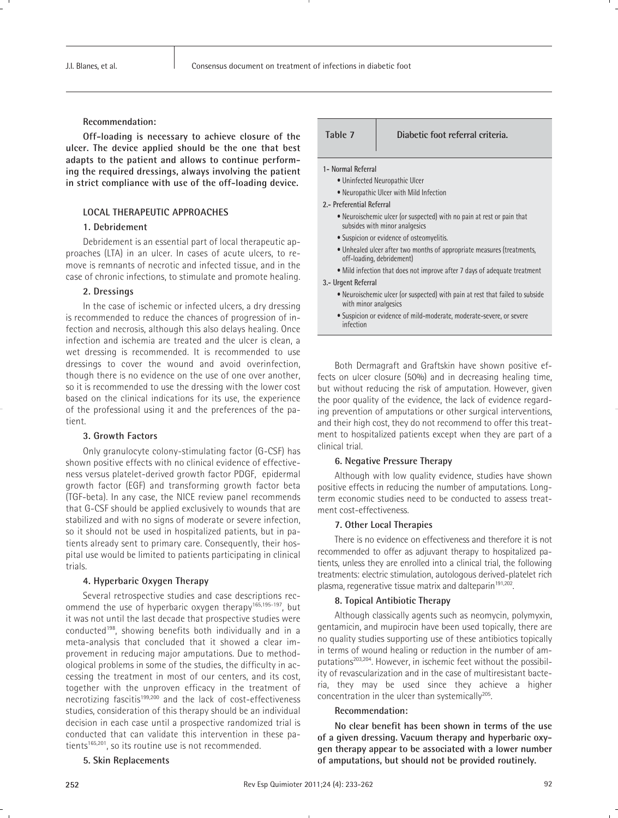#### **Recommendation:**

**Off-loading is necessary to achieve closure of the ulcer. The device applied should be the one that best adapts to the patient and allows to continue performing the required dressings, always involving the patient in strict compliance with use of the off-loading device.**

### **LOCAL THERAPEUTIC APPROACHES**

#### **1. Debridement**

Debridement is an essential part of local therapeutic approaches (LTA) in an ulcer. In cases of acute ulcers, to remove is remnants of necrotic and infected tissue, and in the case of chronic infections, to stimulate and promote healing.

### **2. Dressings**

In the case of ischemic or infected ulcers, a dry dressing is recommended to reduce the chances of progression of infection and necrosis, although this also delays healing. Once infection and ischemia are treated and the ulcer is clean, a wet dressing is recommended. It is recommended to use dressings to cover the wound and avoid overinfection, though there is no evidence on the use of one over another, so it is recommended to use the dressing with the lower cost based on the clinical indications for its use, the experience of the professional using it and the preferences of the patient.

#### **3. Growth Factors**

Only granulocyte colony-stimulating factor (G-CSF) has shown positive effects with no clinical evidence of effectiveness versus platelet-derived growth factor PDGF, epidermal growth factor (EGF) and transforming growth factor beta (TGF-beta). In any case, the NICE review panel recommends that G-CSF should be applied exclusively to wounds that are stabilized and with no signs of moderate or severe infection, so it should not be used in hospitalized patients, but in patients already sent to primary care. Consequently, their hospital use would be limited to patients participating in clinical trials.

#### **4. Hyperbaric Oxygen Therapy**

Several retrospective studies and case descriptions recommend the use of hyperbaric oxygen therapy165,195-197, but it was not until the last decade that prospective studies were conducted198, showing benefits both individually and in a meta-analysis that concluded that it showed a clear improvement in reducing major amputations. Due to methodological problems in some of the studies, the difficulty in accessing the treatment in most of our centers, and its cost, together with the unproven efficacy in the treatment of necrotizing fascitis<sup>199,200</sup> and the lack of cost-effectiveness studies, consideration of this therapy should be an individual decision in each case until a prospective randomized trial is conducted that can validate this intervention in these patients<sup>165,201</sup>, so its routine use is not recommended.

#### **5. Skin Replacements**

**Table 7 Diabetic foot referral criteria.**

**1- Normal Referral**

- Uninfected Neuropathic Ulcer
- Neuropathic Ulcer with Mild Infection
- **2.- Preferential Referral**
	- Neuroischemic ulcer (or suspected) with no pain at rest or pain that subsides with minor analgesics
	- Suspicion or evidence of osteomyelitis.
	- Unhealed ulcer after two months of appropriate measures (treatments, off-loading, debridement)
	- Mild infection that does not improve after 7 days of adequate treatment

#### **3.- Urgent Referral**

- Neuroischemic ulcer (or suspected) with pain at rest that failed to subside with minor analgesics
- Suspicion or evidence of mild-moderate, moderate-severe, or severe infection

Both Dermagraft and Graftskin have shown positive effects on ulcer closure (50%) and in decreasing healing time, but without reducing the risk of amputation. However, given the poor quality of the evidence, the lack of evidence regarding prevention of amputations or other surgical interventions, and their high cost, they do not recommend to offer this treatment to hospitalized patients except when they are part of a clinical trial.

#### **6. Negative Pressure Therapy**

Although with low quality evidence, studies have shown positive effects in reducing the number of amputations. Longterm economic studies need to be conducted to assess treatment cost-effectiveness.

#### **7. Other Local Therapies**

There is no evidence on effectiveness and therefore it is not recommended to offer as adjuvant therapy to hospitalized patients, unless they are enrolled into a clinical trial, the following treatments: electric stimulation, autologous derived-platelet rich plasma, regenerative tissue matrix and dalteparin<sup>191,202</sup>.

#### **8. Topical Antibiotic Therapy**

Although classically agents such as neomycin, polymyxin, gentamicin, and mupirocin have been used topically, there are no quality studies supporting use of these antibiotics topically in terms of wound healing or reduction in the number of amputations<sup>203,204</sup>. However, in ischemic feet without the possibility of revascularization and in the case of multiresistant bacteria, they may be used since they achieve a higher concentration in the ulcer than systemically<sup>205</sup>.

#### **Recommendation:**

**No clear benefit has been shown in terms of the use of a given dressing. Vacuum therapy and hyperbaric oxygen therapy appear to be associated with a lower number of amputations, but should not be provided routinely.**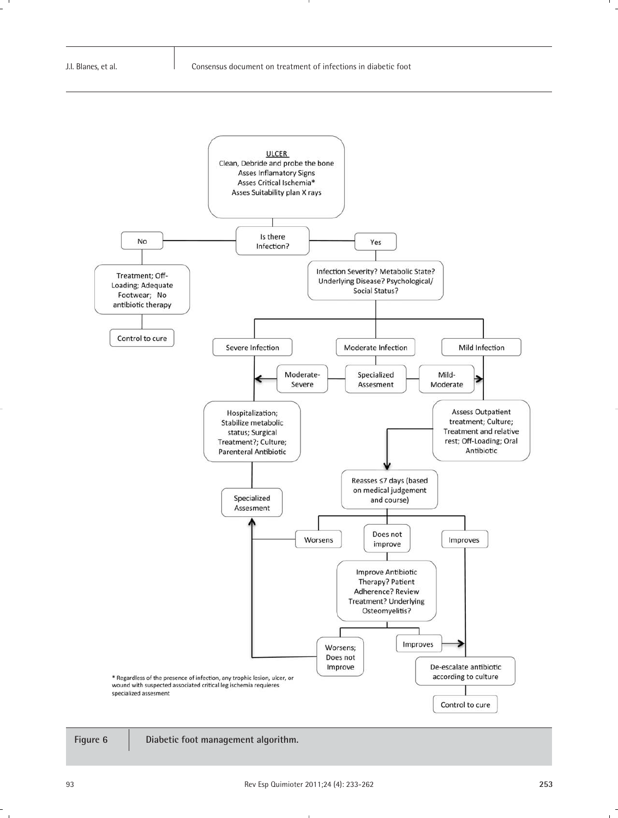



**Figure 6 Diabetic foot management algorithm.**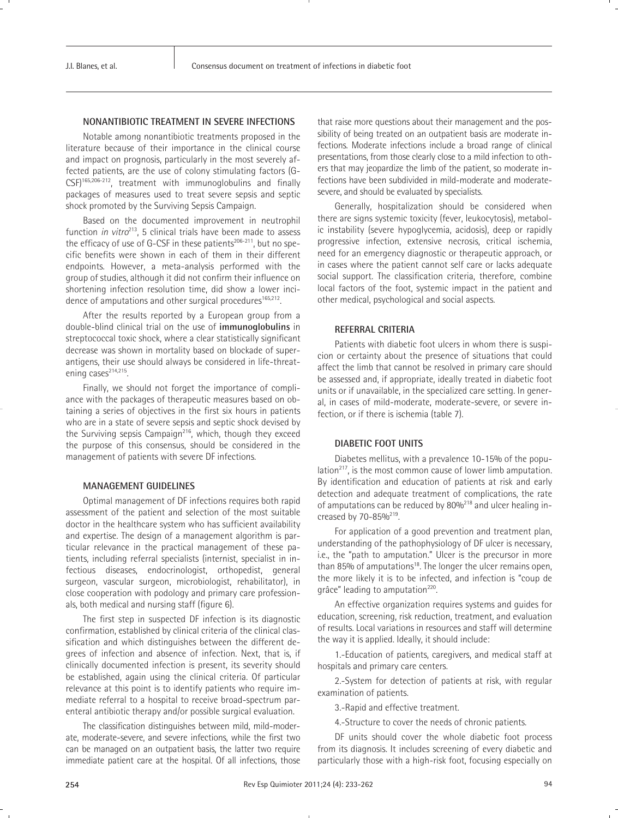# **NONANTIBIOTIC TREATMENT IN SEVERE INFECTIONS**

Notable among nonantibiotic treatments proposed in the literature because of their importance in the clinical course and impact on prognosis, particularly in the most severely affected patients, are the use of colony stimulating factors (G-CSF)165,206-212, treatment with immunoglobulins and finally packages of measures used to treat severe sepsis and septic shock promoted by the Surviving Sepsis Campaign.

Based on the documented improvement in neutrophil function *in vitro*<sup>213</sup>, 5 clinical trials have been made to assess the efficacy of use of G-CSF in these patients<sup>206-211</sup>, but no specific benefits were shown in each of them in their different endpoints. However, a meta-analysis performed with the group of studies, although it did not confirm their influence on shortening infection resolution time, did show a lower incidence of amputations and other surgical procedures<sup>165,212</sup>.

After the results reported by a European group from a double-blind clinical trial on the use of **immunoglobulins** in streptococcal toxic shock, where a clear statistically significant decrease was shown in mortality based on blockade of superantigens, their use should always be considered in life-threatening cases<sup>214,215</sup>.

Finally, we should not forget the importance of compliance with the packages of therapeutic measures based on obtaining a series of objectives in the first six hours in patients who are in a state of severe sepsis and septic shock devised by the Surviving sepsis Campaign<sup>216</sup>, which, though they exceed the purpose of this consensus, should be considered in the management of patients with severe DF infections.

#### **MANAGEMENT GUIDELINES**

Optimal management of DF infections requires both rapid assessment of the patient and selection of the most suitable doctor in the healthcare system who has sufficient availability and expertise. The design of a management algorithm is particular relevance in the practical management of these patients, including referral specialists (internist, specialist in infectious diseases, endocrinologist, orthopedist, general surgeon, vascular surgeon, microbiologist, rehabilitator), in close cooperation with podology and primary care professionals, both medical and nursing staff (figure 6).

The first step in suspected DF infection is its diagnostic confirmation, established by clinical criteria of the clinical classification and which distinguishes between the different degrees of infection and absence of infection. Next, that is, if clinically documented infection is present, its severity should be established, again using the clinical criteria. Of particular relevance at this point is to identify patients who require immediate referral to a hospital to receive broad-spectrum parenteral antibiotic therapy and/or possible surgical evaluation.

The classification distinguishes between mild, mild-moderate, moderate-severe, and severe infections, while the first two can be managed on an outpatient basis, the latter two require immediate patient care at the hospital. Of all infections, those that raise more questions about their management and the possibility of being treated on an outpatient basis are moderate infections. Moderate infections include a broad range of clinical presentations, from those clearly close to a mild infection to others that may jeopardize the limb of the patient, so moderate infections have been subdivided in mild-moderate and moderatesevere, and should be evaluated by specialists.

Generally, hospitalization should be considered when there are signs systemic toxicity (fever, leukocytosis), metabolic instability (severe hypoglycemia, acidosis), deep or rapidly progressive infection, extensive necrosis, critical ischemia, need for an emergency diagnostic or therapeutic approach, or in cases where the patient cannot self care or lacks adequate social support. The classification criteria, therefore, combine local factors of the foot, systemic impact in the patient and other medical, psychological and social aspects.

#### **REFERRAL CRITERIA**

Patients with diabetic foot ulcers in whom there is suspicion or certainty about the presence of situations that could affect the limb that cannot be resolved in primary care should be assessed and, if appropriate, ideally treated in diabetic foot units or if unavailable, in the specialized care setting. In general, in cases of mild-moderate, moderate-severe, or severe infection, or if there is ischemia (table 7).

#### **DIABETIC FOOT UNITS**

Diabetes mellitus, with a prevalence 10-15% of the population $217$ , is the most common cause of lower limb amputation. By identification and education of patients at risk and early detection and adequate treatment of complications, the rate of amputations can be reduced by 80%<sup>218</sup> and ulcer healing increased by  $70 - 85\%^{219}$ .

For application of a good prevention and treatment plan, understanding of the pathophysiology of DF ulcer is necessary, i.e., the "path to amputation." Ulcer is the precursor in more than 85% of amputations<sup>18</sup>. The longer the ulcer remains open, the more likely it is to be infected, and infection is "coup de grâce" leading to amputation<sup>220</sup>.

An effective organization requires systems and guides for education, screening, risk reduction, treatment, and evaluation of results. Local variations in resources and staff will determine the way it is applied. Ideally, it should include:

1.-Education of patients, caregivers, and medical staff at hospitals and primary care centers.

2.-System for detection of patients at risk, with regular examination of patients.

3.-Rapid and effective treatment.

4.-Structure to cover the needs of chronic patients.

DF units should cover the whole diabetic foot process from its diagnosis. It includes screening of every diabetic and particularly those with a high-risk foot, focusing especially on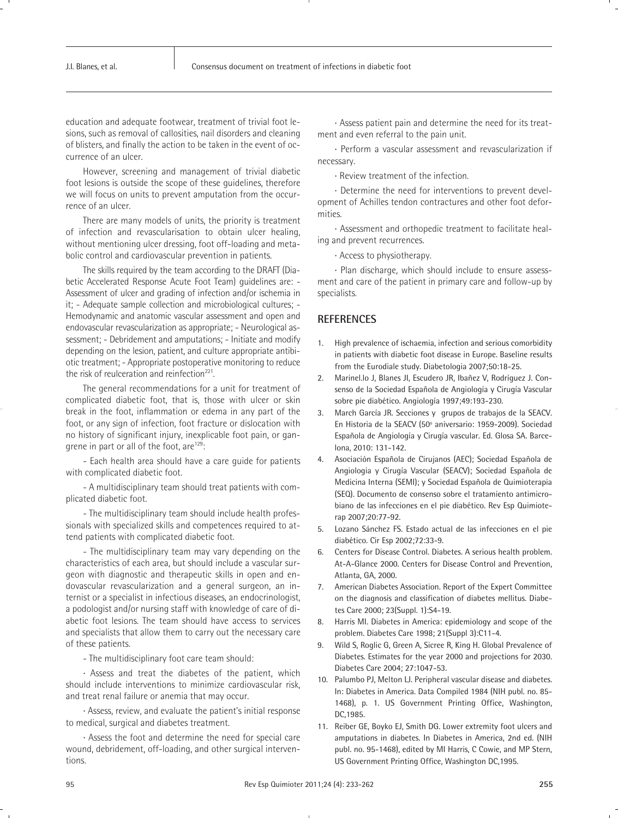education and adequate footwear, treatment of trivial foot lesions, such as removal of callosities, nail disorders and cleaning of blisters, and finally the action to be taken in the event of occurrence of an ulcer.

However, screening and management of trivial diabetic foot lesions is outside the scope of these guidelines, therefore we will focus on units to prevent amputation from the occurrence of an ulcer.

There are many models of units, the priority is treatment of infection and revascularisation to obtain ulcer healing, without mentioning ulcer dressing, foot off-loading and metabolic control and cardiovascular prevention in patients.

The skills required by the team according to the DRAFT (Diabetic Accelerated Response Acute Foot Team) guidelines are: - Assessment of ulcer and grading of infection and/or ischemia in it; - Adequate sample collection and microbiological cultures; - Hemodynamic and anatomic vascular assessment and open and endovascular revascularization as appropriate; - Neurological assessment; - Debridement and amputations; - Initiate and modify depending on the lesion, patient, and culture appropriate antibiotic treatment; - Appropriate postoperative monitoring to reduce the risk of reulceration and reinfection<sup>221</sup>.

The general recommendations for a unit for treatment of complicated diabetic foot, that is, those with ulcer or skin break in the foot, inflammation or edema in any part of the foot, or any sign of infection, foot fracture or dislocation with no history of significant injury, inexplicable foot pain, or gangrene in part or all of the foot, are<sup>129</sup>:

- Each health area should have a care guide for patients with complicated diabetic foot.

- A multidisciplinary team should treat patients with complicated diabetic foot.

- The multidisciplinary team should include health professionals with specialized skills and competences required to attend patients with complicated diabetic foot.

- The multidisciplinary team may vary depending on the characteristics of each area, but should include a vascular surgeon with diagnostic and therapeutic skills in open and endovascular revascularization and a general surgeon, an internist or a specialist in infectious diseases, an endocrinologist, a podologist and/or nursing staff with knowledge of care of diabetic foot lesions. The team should have access to services and specialists that allow them to carry out the necessary care of these patients.

- The multidisciplinary foot care team should:

· Assess and treat the diabetes of the patient, which should include interventions to minimize cardiovascular risk, and treat renal failure or anemia that may occur.

· Assess, review, and evaluate the patient's initial response to medical, surgical and diabetes treatment.

· Assess the foot and determine the need for special care wound, debridement, off-loading, and other surgical interventions.

· Assess patient pain and determine the need for its treatment and even referral to the pain unit.

· Perform a vascular assessment and revascularization if necessary.

· Review treatment of the infection.

· Determine the need for interventions to prevent development of Achilles tendon contractures and other foot deformities.

· Assessment and orthopedic treatment to facilitate healing and prevent recurrences.

· Access to physiotherapy.

· Plan discharge, which should include to ensure assessment and care of the patient in primary care and follow-up by specialists.

# **REFERENCES**

- 1. High prevalence of ischaemia, infection and serious comorbidity in patients with diabetic foot disease in Europe. Baseline results from the Eurodiale study. Diabetologia 2007;50:18-25.
- 2. Marinel.lo J, Blanes JI, Escudero JR, Ibañez V, Rodríguez J. Consenso de la Sociedad Española de Angiología y Cirugía Vascular sobre pie diabético. Angiología 1997;49:193-230.
- 3. March García JR. Secciones y grupos de trabajos de la SEACV. En Historia de la SEACV (50º aniversario: 1959-2009). Sociedad Española de Angiología y Cirugía vascular. Ed. Glosa SA. Barcelona, 2010: 131-142.
- 4. Asociación Española de Cirujanos (AEC); Sociedad Española de Angiologia y Cirugía Vascular (SEACV); Sociedad Española de Medicina Interna (SEMI); y Sociedad Española de Quimioterapia (SEQ). Documento de consenso sobre el tratamiento antimicrobiano de las infecciones en el pie diabético. Rev Esp Quimioterap 2007;20:77-92.
- 5. Lozano Sánchez FS. Estado actual de las infecciones en el pie diabético. Cir Esp 2002;72:33-9.
- 6. Centers for Disease Control. Diabetes. A serious health problem. At-A-Glance 2000. Centers for Disease Control and Prevention, Atlanta, GA, 2000.
- 7. American Diabetes Association. Report of the Expert Committee on the diagnosis and classification of diabetes mellitus. Diabetes Care 2000; 23(Suppl. 1):S4-19.
- 8. Harris MI. Diabetes in America: epidemiology and scope of the problem. Diabetes Care 1998; 21(Suppl 3):C11-4.
- 9. Wild S, Roglic G, Green A, Sicree R, King H. Global Prevalence of Diabetes. Estimates for the year 2000 and projections for 2030. Diabetes Care 2004; 27:1047-53.
- 10. Palumbo PJ, Melton LJ. Peripheral vascular disease and diabetes. In: Diabetes in America. Data Compiled 1984 (NIH publ. no. 85- 1468), p. 1. US Government Printing Office, Washington, DC,1985.
- 11. Reiber GE, Boyko EJ, Smith DG. Lower extremity foot ulcers and amputations in diabetes. In Diabetes in America, 2nd ed. (NIH publ. no. 95-1468), edited by MI Harris, C Cowie, and MP Stern, US Government Printing Office, Washington DC,1995.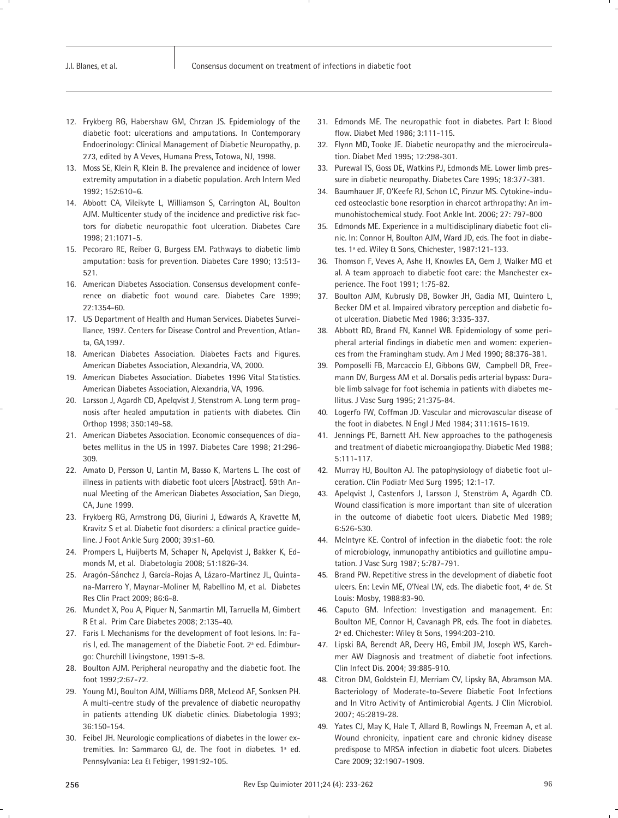- 12. Frykberg RG, Habershaw GM, Chrzan JS. Epidemiology of the diabetic foot: ulcerations and amputations. In Contemporary Endocrinology: Clinical Management of Diabetic Neuropathy, p. 273, edited by A Veves, Humana Press, Totowa, NJ, 1998.
- 13. Moss SE, Klein R, Klein B. The prevalence and incidence of lower extremity amputation in a diabetic population. Arch Intern Med 1992; 152:610–6.
- 14. Abbott CA, Vileikyte L, Williamson S, Carrington AL, Boulton AJM. Multicenter study of the incidence and predictive risk factors for diabetic neuropathic foot ulceration. Diabetes Care 1998; 21:1071-5.
- 15. Pecoraro RE, Reiber G, Burgess EM. Pathways to diabetic limb amputation: basis for prevention. Diabetes Care 1990; 13:513- 521.
- 16. American Diabetes Association. Consensus development conference on diabetic foot wound care. Diabetes Care 1999; 22:1354-60.
- 17. US Department of Health and Human Services. Diabetes Surveillance, 1997. Centers for Disease Control and Prevention, Atlanta, GA,1997.
- 18. American Diabetes Association. Diabetes Facts and Figures. American Diabetes Association, Alexandria, VA, 2000.
- 19. American Diabetes Association. Diabetes 1996 Vital Statistics. American Diabetes Association, Alexandria, VA, 1996.
- 20. Larsson J, Agardh CD, Apelqvist J, Stenstrom A. Long term prognosis after healed amputation in patients with diabetes. Clin Orthop 1998; 350:149-58.
- 21. American Diabetes Association. Economic consequences of diabetes mellitus in the US in 1997. Diabetes Care 1998; 21:296- 309.
- 22. Amato D, Persson U, Lantin M, Basso K, Martens L. The cost of illness in patients with diabetic foot ulcers [Abstract]. 59th Annual Meeting of the American Diabetes Association, San Diego, CA, June 1999.
- 23. Frykberg RG, Armstrong DG, Giurini J, Edwards A, Kravette M, Kravitz S et al. Diabetic foot disorders: a clinical practice guideline. J Foot Ankle Surg 2000; 39:s1-60.
- 24. Prompers L, Huijberts M, Schaper N, Apelqvist J, Bakker K, Edmonds M, et al. Diabetologia 2008; 51:1826-34.
- 25. Aragón-Sánchez J, García-Rojas A, Lázaro-Martínez JL, Quintana-Marrero Y, Maynar-Moliner M, Rabellino M, et al. Diabetes Res Clin Pract 2009; 86:6-8.
- 26. Mundet X, Pou A, Piquer N, Sanmartin MI, Tarruella M, Gimbert R Et al. Prim Care Diabetes 2008; 2:135-40.
- 27. Faris I. Mechanisms for the development of foot lesions. In: Faris I, ed. The management of the Diabetic Foot. 2ª ed. Edimburgo: Churchill Livingstone, 1991:5-8.
- 28. Boulton AJM. Peripheral neuropathy and the diabetic foot. The foot 1992;2:67-72.
- 29. Young MJ, Boulton AJM, Williams DRR, McLeod AF, Sonksen PH. A multi-centre study of the prevalence of diabetic neuropathy in patients attending UK diabetic clinics. Diabetologia 1993; 36:150-154.
- 30. Feibel JH. Neurologic complications of diabetes in the lower extremities. In: Sammarco GJ, de. The foot in diabetes. 1ª ed. Pennsylvania: Lea & Febiger, 1991:92-105.
- 31. Edmonds ME. The neuropathic foot in diabetes. Part I: Blood flow. Diabet Med 1986; 3:111-115.
- 32. Flynn MD, Tooke JE. Diabetic neuropathy and the microcirculation. Diabet Med 1995; 12:298-301.
- 33. Purewal TS, Goss DE, Watkins PJ, Edmonds ME. Lower limb pressure in diabetic neuropathy. Diabetes Care 1995; 18:377-381.
- 34. Baumhauer JF, O'Keefe RJ, Schon LC, Pinzur MS. Cytokine-induced osteoclastic bone resorption in charcot arthropathy: An immunohistochemical study. Foot Ankle Int. 2006; 27: 797-800
- 35. Edmonds ME. Experience in a multidisciplinary diabetic foot clinic. In: Connor H, Boulton AJM, Ward JD, eds. The foot in diabetes. 1ª ed. Wiley & Sons, Chichester, 1987:121-133.
- 36. Thomson F, Veves A, Ashe H, Knowles EA, Gem J, Walker MG et al. A team approach to diabetic foot care: the Manchester experience. The Foot 1991; 1:75-82.
- 37. Boulton AJM, Kubrusly DB, Bowker JH, Gadia MT, Quintero L, Becker DM et al. Impaired vibratory perception and diabetic foot ulceration. Diabetic Med 1986; 3:335-337.
- 38. Abbott RD, Brand FN, Kannel WB. Epidemiology of some peripheral arterial findings in diabetic men and women: experiences from the Framingham study. Am J Med 1990; 88:376-381.
- 39. Pomposelli FB, Marcaccio EJ, Gibbons GW, Campbell DR, Freemann DV, Burgess AM et al. Dorsalis pedis arterial bypass: Durable limb salvage for foot ischemia in patients with diabetes mellitus. J Vasc Surg 1995; 21:375-84.
- 40. Logerfo FW, Coffman JD. Vascular and microvascular disease of the foot in diabetes. N Engl J Med 1984; 311:1615-1619.
- 41. Jennings PE, Barnett AH. New approaches to the pathogenesis and treatment of diabetic microangiopathy. Diabetic Med 1988; 5:111-117.
- 42. Murray HJ, Boulton AJ. The patophysiology of diabetic foot ulceration. Clin Podiatr Med Surg 1995; 12:1-17.
- 43. Apelqvist J, Castenfors J, Larsson J, Stenström A, Agardh CD. Wound classification is more important than site of ulceration in the outcome of diabetic foot ulcers. Diabetic Med 1989; 6:526-530.
- 44. McIntyre KE. Control of infection in the diabetic foot: the role of microbiology, inmunopathy antibiotics and guillotine amputation. J Vasc Surg 1987; 5:787-791.
- 45. Brand PW. Repetitive stress in the development of diabetic foot ulcers. En: Levin ME, O'Neal LW, eds. The diabetic foot, 4ª de. St Louis: Mosby, 1988:83-90.
- 46. Caputo GM. Infection: Investigation and management. En: Boulton ME, Connor H, Cavanagh PR, eds. The foot in diabetes. 2ª ed. Chichester: Wiley & Sons, 1994:203-210.
- 47. Lipski BA, Berendt AR, Deery HG, Embil JM, Joseph WS, Karchmer AW Diagnosis and treatment of diabetic foot infections. Clin Infect Dis. 2004; 39:885-910.
- 48. Citron DM, Goldstein EJ, Merriam CV, Lipsky BA, Abramson MA. Bacteriology of Moderate-to-Severe Diabetic Foot Infections and In Vitro Activity of Antimicrobial Agents. J Clin Microbiol. 2007; 45:2819-28.
- 49. Yates CJ, May K, Hale T, Allard B, Rowlings N, Freeman A, et al. Wound chronicity, inpatient care and chronic kidney disease predispose to MRSA infection in diabetic foot ulcers. Diabetes Care 2009; 32:1907-1909.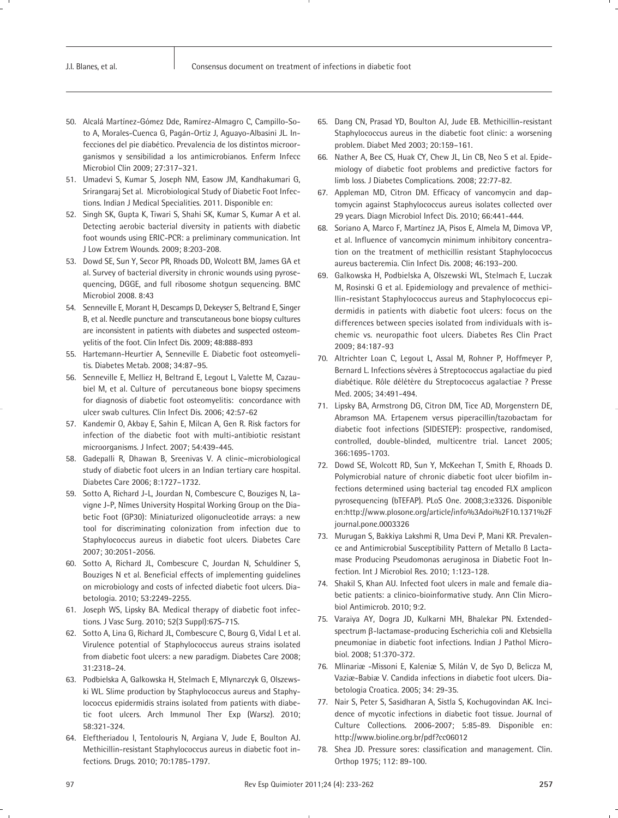- 50. Alcalá Martínez-Gómez Dde, Ramírez-Almagro C, Campillo-Soto A, Morales-Cuenca G, Pagán-Ortiz J, Aguayo-Albasini JL. Infecciones del pie diabético. Prevalencia de los distintos microorganismos y sensibilidad a los antimicrobianos. Enferm Infecc Microbiol Clin 2009; 27:317–321.
- 51. Umadevi S, Kumar S, Joseph NM, Easow JM, Kandhakumari G, Srirangaraj Set al. Microbiological Study of Diabetic Foot Infections. Indian J Medical Specialities. 2011. Disponible en:
- 52. Singh SK, Gupta K, Tiwari S, Shahi SK, Kumar S, Kumar A et al. Detecting aerobic bacterial diversity in patients with diabetic foot wounds using ERIC-PCR: a preliminary communication. Int J Low Extrem Wounds. 2009; 8:203-208.
- 53. Dowd SE, Sun Y, Secor PR, Rhoads DD, Wolcott BM, James GA et al. Survey of bacterial diversity in chronic wounds using pyrosequencing, DGGE, and full ribosome shotgun sequencing. BMC Microbiol 2008. 8:43
- 54. Senneville E, Morant H, Descamps D, Dekeyser S, Beltrand E, Singer B, et al. Needle puncture and transcutaneous bone biopsy cultures are inconsistent in patients with diabetes and suspected osteomyelitis of the foot. Clin Infect Dis. 2009; 48:888-893
- 55. Hartemann-Heurtier A, Senneville E. Diabetic foot osteomyelitis. Diabetes Metab. 2008; 34:87–95.
- 56. Senneville E, Melliez H, Beltrand E, Legout L, Valette M, Cazaubiel M, et al. Culture of percutaneous bone biopsy specimens for diagnosis of diabetic foot osteomyelitis: concordance with ulcer swab cultures. Clin Infect Dis. 2006; 42:57-62
- 57. Kandemir O, Akbay E, Sahin E, Milcan A, Gen R. Risk factors for infection of the diabetic foot with multi-antibiotic resistant microorganisms. J Infect. 2007; 54:439-445.
- 58. Gadepalli R, Dhawan B, Sreenivas V. A clinic–microbiological study of diabetic foot ulcers in an Indian tertiary care hospital. Diabetes Care 2006; 8:1727–1732.
- 59. Sotto A, Richard J-L, Jourdan N, Combescure C, Bouziges N, Lavigne J-P, Nîmes University Hospital Working Group on the Diabetic Foot (GP30): Miniaturized oligonucleotide arrays: a new tool for discriminating colonization from infection due to Staphylococcus aureus in diabetic foot ulcers. Diabetes Care 2007; 30:2051-2056.
- 60. Sotto A, Richard JL, Combescure C, Jourdan N, Schuldiner S, Bouziges N et al. Beneficial effects of implementing guidelines on microbiology and costs of infected diabetic foot ulcers. Diabetologia. 2010; 53:2249-2255.
- 61. Joseph WS, Lipsky BA. Medical therapy of diabetic foot infections. J Vasc Surg. 2010; 52(3 Suppl):67S-71S.
- 62. Sotto A, Lina G, Richard JL, Combescure C, Bourg G, Vidal L et al. Virulence potential of Staphylococcus aureus strains isolated from diabetic foot ulcers: a new paradigm. Diabetes Care 2008; 31:2318–24.
- 63. Podbielska A, Galkowska H, Stelmach E, Mlynarczyk G, Olszewski WL. Slime production by Staphylococcus aureus and Staphylococcus epidermidis strains isolated from patients with diabetic foot ulcers. Arch Immunol Ther Exp (Warsz). 2010; 58:321-324.
- 64. Eleftheriadou I, Tentolouris N, Argiana V, Jude E, Boulton AJ. Methicillin-resistant Staphylococcus aureus in diabetic foot infections. Drugs. 2010; 70:1785-1797.
- 65. Dang CN, Prasad YD, Boulton AJ, Jude EB. Methicillin-resistant Staphylococcus aureus in the diabetic foot clinic: a worsening problem. Diabet Med 2003; 20:159–161.
- 66. Nather A, Bee CS, Huak CY, Chew JL, Lin CB, Neo S et al. Epidemiology of diabetic foot problems and predictive factors for limb loss. J Diabetes Complications. 2008; 22:77-82.
- 67. Appleman MD, Citron DM. Efficacy of vancomycin and daptomycin against Staphylococcus aureus isolates collected over 29 years. Diagn Microbiol Infect Dis. 2010; 66:441-444.
- 68. Soriano A, Marco F, Martínez JA, Pisos E, Almela M, Dimova VP, et al. Influence of vancomycin minimum inhibitory concentration on the treatment of methicillin resistant Staphylococcus aureus bacteremia. Clin Infect Dis. 2008; 46:193–200.
- 69. Galkowska H, Podbielska A, Olszewski WL, Stelmach E, Luczak M, Rosinski G et al. Epidemiology and prevalence of methicillin-resistant Staphylococcus aureus and Staphylococcus epidermidis in patients with diabetic foot ulcers: focus on the differences between species isolated from individuals with ischemic vs. neuropathic foot ulcers. Diabetes Res Clin Pract 2009; 84:187-93
- 70. Altrichter Loan C, Legout L, Assal M, Rohner P, Hoffmeyer P, Bernard L. Infections sévères à Streptococcus agalactiae du pied diabétique. Rôle délétère du Streptococcus agalactiae ? Presse Med. 2005; 34:491-494.
- 71. Lipsky BA, Armstrong DG, Citron DM, Tice AD, Morgenstern DE, Abramson MA. Ertapenem versus piperacillin/tazobactam for diabetic foot infections (SIDESTEP): prospective, randomised, controlled, double-blinded, multicentre trial. Lancet 2005; 366:1695-1703.
- 72. Dowd SE, Wolcott RD, Sun Y, McKeehan T, Smith E, Rhoads D. Polymicrobial nature of chronic diabetic foot ulcer biofilm infections determined using bacterial tag encoded FLX amplicon pyrosequencing (bTEFAP). PLoS One. 2008;3:e3326. Disponible en:http://www.plosone.org/article/info%3Adoi%2F10.1371%2F journal.pone.0003326
- 73. Murugan S, Bakkiya Lakshmi R, Uma Devi P, Mani KR. Prevalence and Antimicrobial Susceptibility Pattern of Metallo ß Lactamase Producing Pseudomonas aeruginosa in Diabetic Foot Infection. Int J Microbiol Res. 2010; 1:123-128.
- 74. Shakil S, Khan AU. Infected foot ulcers in male and female diabetic patients: a clinico-bioinformative study. Ann Clin Microbiol Antimicrob. 2010; 9:2.
- 75. Varaiya AY, Dogra JD, Kulkarni MH, Bhalekar PN. Extendedspectrum β-lactamase-producing Escherichia coli and Klebsiella pneumoniae in diabetic foot infections. Indian J Pathol Microbiol. 2008; 51:370-372.
- 76. Mlinariæ -Missoni E, Kaleniæ S, Milán V, de Syo D, Belicza M, Vaziæ-Babiæ V. Candida infections in diabetic foot ulcers. Diabetologia Croatica. 2005; 34: 29-35.
- 77. Nair S, Peter S, Sasidharan A, Sistla S, Kochugovindan AK. Incidence of mycotic infections in diabetic foot tissue. Journal of Culture Collections. 2006-2007; 5:85-89. Disponible en: http://www.bioline.org.br/pdf?cc06012
- 78. Shea JD. Pressure sores: classification and management. Clin. Orthop 1975; 112: 89-100.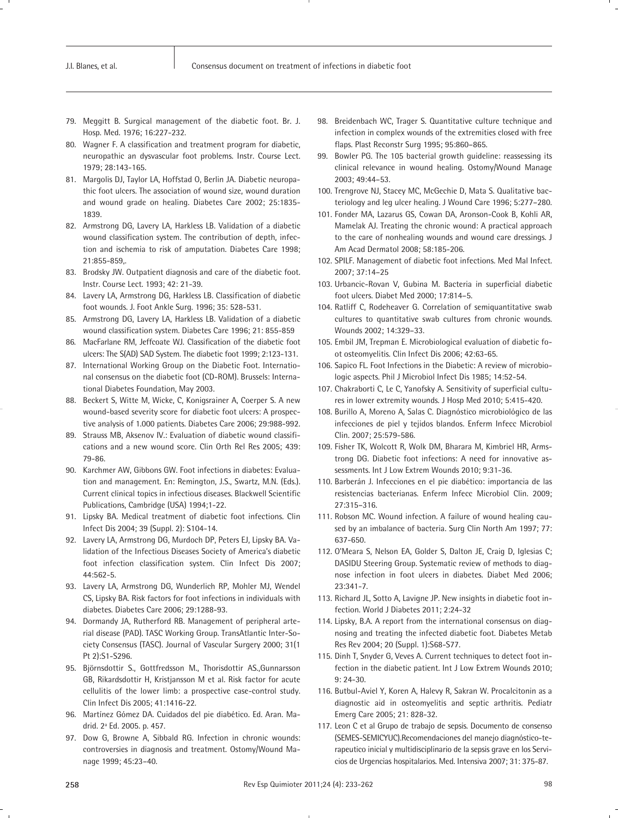- 79. Meggitt B. Surgical management of the diabetic foot. Br. J. Hosp. Med. 1976; 16:227-232.
- 80. Wagner F. A classification and treatment program for diabetic, neuropathic an dysvascular foot problems. Instr. Course Lect. 1979; 28:143-165.
- 81. Margolis DJ, Taylor LA, Hoffstad O, Berlin JA. Diabetic neuropathic foot ulcers. The association of wound size, wound duration and wound grade on healing. Diabetes Care 2002; 25:1835- 1839.
- 82. Armstrong DG, Lavery LA, Harkless LB. Validation of a diabetic wound classification system. The contribution of depth, infection and ischemia to risk of amputation. Diabetes Care 1998; 21:855-859,.
- 83. Brodsky JW. Outpatient diagnosis and care of the diabetic foot. Instr. Course Lect. 1993; 42: 21-39.
- 84. Lavery LA, Armstrong DG, Harkless LB. Classification of diabetic foot wounds. J. Foot Ankle Surg. 1996; 35: 528-531.
- 85. Armstrong DG, Lavery LA, Harkless LB. Validation of a diabetic wound classification system. Diabetes Care 1996; 21: 855-859
- 86. MacFarlane RM, Jeffcoate WJ. Classification of the diabetic foot ulcers: The S(AD) SAD System. The diabetic foot 1999; 2:123-131.
- 87. International Working Group on the Diabetic Foot. International consensus on the diabetic foot (CD-ROM). Brussels: International Diabetes Foundation, May 2003.
- 88. Beckert S, Witte M, Wicke, C, Konigsrainer A, Coerper S. A new wound-based severity score for diabetic foot ulcers: A prospective analysis of 1.000 patients. Diabetes Care 2006; 29:988-992.
- 89. Strauss MB, Aksenov IV.: Evaluation of diabetic wound classifications and a new wound score. Clin Orth Rel Res 2005; 439: 79-86.
- 90. Karchmer AW, Gibbons GW. Foot infections in diabetes: Evaluation and management. En: Remington, J.S., Swartz, M.N. (Eds.). Current clinical topics in infectious diseases. Blackwell Scientific Publications, Cambridge (USA) 1994;1-22.
- 91. Lipsky BA. Medical treatment of diabetic foot infections. Clin Infect Dis 2004; 39 (Suppl. 2): S104-14.
- 92. Lavery LA, Armstrong DG, Murdoch DP, Peters EJ, Lipsky BA. Validation of the Infectious Diseases Society of America's diabetic foot infection classification system. Clin Infect Dis 2007; 44:562-5.
- 93. Lavery LA, Armstrong DG, Wunderlich RP, Mohler MJ, Wendel CS, Lipsky BA. Risk factors for foot infections in individuals with diabetes. Diabetes Care 2006; 29:1288-93.
- 94. Dormandy JA, Rutherford RB. Management of peripheral arterial disease (PAD). TASC Working Group. TransAtlantic Inter-Society Consensus (TASC). Journal of Vascular Surgery 2000; 31(1 Pt 2):S1-S296.
- 95. Björnsdottir S., Gottfredsson M., Thorisdottir AS.,Gunnarsson GB, Rikardsdottir H, Kristjansson M et al. Risk factor for acute cellulitis of the lower limb: a prospective case-control study. Clin Infect Dis 2005; 41:1416-22.
- 96. Martínez Gómez DA. Cuidados del pie diabético. Ed. Aran. Madrid. 2ª Ed. 2005. p. 457.
- 97. Dow G, Browne A, Sibbald RG. Infection in chronic wounds: controversies in diagnosis and treatment. Ostomy/Wound Manage 1999; 45:23–40.
- 98. Breidenbach WC, Trager S. Quantitative culture technique and infection in complex wounds of the extremities closed with free flaps. Plast Reconstr Surg 1995; 95:860–865.
- 99. Bowler PG. The 105 bacterial growth guideline: reassessing its clinical relevance in wound healing. Ostomy/Wound Manage 2003; 49:44–53.
- 100. Trengrove NJ, Stacey MC, McGechie D, Mata S. Qualitative bacteriology and leg ulcer healing. J Wound Care 1996; 5:277–280.
- 101. Fonder MA, Lazarus GS, Cowan DA, Aronson-Cook B, Kohli AR, Mamelak AJ. Treating the chronic wound: A practical approach to the care of nonhealing wounds and wound care dressings. J Am Acad Dermatol 2008; 58:185-206.
- 102. SPILF. Management of diabetic foot infections. Med Mal Infect. 2007; 37:14–25
- 103. Urbancic-Rovan V, Gubina M. Bacteria in superficial diabetic foot ulcers. Diabet Med 2000; 17:814–5.
- 104. Ratliff C, Rodeheaver G. Correlation of semiquantitative swab cultures to quantitative swab cultures from chronic wounds. Wounds 2002; 14:329–33.
- 105. Embil JM, Trepman E. Microbiological evaluation of diabetic foot osteomyelitis. Clin Infect Dis 2006; 42:63-65.
- 106. Sapico FL. Foot Infections in the Diabetic: A review of microbiologic aspects. Phil J Microbiol Infect Dis 1985; 14:52-54.
- 107. Chakraborti C, Le C, Yanofsky A. Sensitivity of superficial cultures in lower extremity wounds. J Hosp Med 2010; 5:415-420.
- 108. Burillo A, Moreno A, Salas C. Diagnóstico microbiológico de las infecciones de piel y tejidos blandos. Enferm Infecc Microbiol Clin. 2007; 25:579-586.
- 109. Fisher TK, Wolcott R, Wolk DM, Bharara M, Kimbriel HR, Armstrong DG. Diabetic foot infections: A need for innovative assessments. Int J Low Extrem Wounds 2010; 9:31-36.
- 110. Barberán J. Infecciones en el pie diabético: importancia de las resistencias bacterianas. Enferm Infecc Microbiol Clin. 2009; 27:315–316.
- 111. Robson MC. Wound infection. A failure of wound healing caused by an imbalance of bacteria. Surg Clin North Am 1997; 77: 637-650.
- 112. O'Meara S, Nelson EA, Golder S, Dalton JE, Craig D, Iglesias C; DASIDU Steering Group. Systematic review of methods to diagnose infection in foot ulcers in diabetes. Diabet Med 2006; 23:341-7.
- 113. Richard JL, Sotto A, Lavigne JP. New insights in diabetic foot infection. World J Diabetes 2011; 2:24-32
- 114. Lipsky, B.A. A report from the international consensus on diagnosing and treating the infected diabetic foot. Diabetes Metab Res Rev 2004; 20 (Suppl. 1):S68-S77.
- 115. Dinh T, Snyder G, Veves A. Current techniques to detect foot infection in the diabetic patient. Int J Low Extrem Wounds 2010; 9: 24-30.
- 116. Butbul-Aviel Y, Koren A, Halevy R, Sakran W. Procalcitonin as a diagnostic aid in osteomyelitis and septic arthritis. Pediatr Emerg Care 2005; 21: 828-32.
- 117. Leon C et al Grupo de trabajo de sepsis. Documento de consenso (SEMES-SEMICYUC).Recomendaciones del manejo diagnóstico-terapeutico inicial y multidisciplinario de la sepsis grave en los Servicios de Urgencias hospitalarios. Med. Intensiva 2007; 31: 375-87.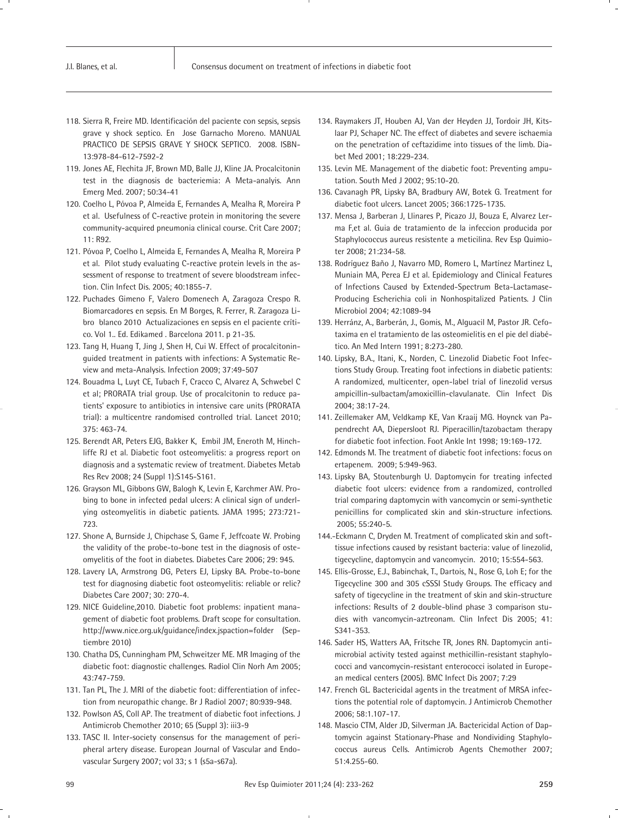- 118. Sierra R, Freire MD. Identificación del paciente con sepsis, sepsis grave y shock septico. En Jose Garnacho Moreno. MANUAL PRACTICO DE SEPSIS GRAVE Y SHOCK SEPTICO. 2008. ISBN-13:978-84-612-7592-2
- 119. Jones AE, Flechita JF, Brown MD, Balle JJ, Kline JA. Procalcitonin test in the diagnosis de bacteriemia: A Meta-analyis. Ann Emerg Med. 2007; 50:34-41
- 120. Coelho L, Póvoa P, Almeida E, Fernandes A, Mealha R, Moreira P et al. Usefulness of C-reactive protein in monitoring the severe community-acquired pneumonia clinical course. Crit Care 2007; 11: R92.
- 121. Póvoa P, Coelho L, Almeida E, Fernandes A, Mealha R, Moreira P et al. Pilot study evaluating C-reactive protein levels in the assessment of response to treatment of severe bloodstream infection. Clin Infect Dis. 2005; 40:1855-7.
- 122. Puchades Gimeno F, Valero Domenech A, Zaragoza Crespo R. Biomarcadores en sepsis. En M Borges, R. Ferrer, R. Zaragoza Libro blanco 2010 Actualizaciones en sepsis en el paciente crítico. Vol 1.. Ed. Edikamed . Barcelona 2011. p 21-35.
- 123. Tang H, Huang T, Jing J, Shen H, Cui W. Effect of procalcitoninguided treatment in patients with infections: A Systematic Review and meta-Analysis. Infection 2009; 37:49-507
- 124. Bouadma L, Luyt CE, Tubach F, Cracco C, Alvarez A, Schwebel C et al; PRORATA trial group. Use of procalcitonin to reduce patients' exposure to antibiotics in intensive care units (PRORATA trial): a multicentre randomised controlled trial. Lancet 2010; 375: 463-74.
- 125. Berendt AR, Peters EJG, Bakker K, Embil JM, Eneroth M, Hinchliffe RJ et al. Diabetic foot osteomyelitis: a progress report on diagnosis and a systematic review of treatment. Diabetes Metab Res Rev 2008; 24 (Suppl 1):S145-S161.
- 126. Grayson ML, Gibbons GW, Balogh K, Levin E, Karchmer AW. Probing to bone in infected pedal ulcers: A clinical sign of underlying osteomyelitis in diabetic patients. JAMA 1995; 273:721- 723.
- 127. Shone A, Burnside J, Chipchase S, Game F, Jeffcoate W. Probing the validity of the probe-to-bone test in the diagnosis of osteomyelitis of the foot in diabetes. Diabetes Care 2006; 29: 945.
- 128. Lavery LA, Armstrong DG, Peters EJ, Lipsky BA. Probe-to-bone test for diagnosing diabetic foot osteomyelitis: reliable or relic? Diabetes Care 2007; 30: 270-4.
- 129. NICE Guideline,2010. Diabetic foot problems: inpatient management of diabetic foot problems. Draft scope for consultation. http://www.nice.org.uk/guidance/index.jspaction=folder (Septiembre 2010)
- 130. Chatha DS, Cunningham PM, Schweitzer ME. MR Imaging of the diabetic foot: diagnostic challenges. Radiol Clin Norh Am 2005; 43:747-759.
- 131. Tan PL, The J. MRI of the diabetic foot: differentiation of infection from neuropathic change. Br J Radiol 2007; 80:939-948.
- 132. Powlson AS, Coll AP. The treatment of diabetic foot infections. J Antimicrob Chemother 2010; 65 (Suppl 3): iii3-9
- 133. TASC II. Inter-society consensus for the management of peripheral artery disease. European Journal of Vascular and Endovascular Surgery 2007; vol 33; s 1 (s5a-s67a).
- 134. Raymakers JT, Houben AJ, Van der Heyden JJ, Tordoir JH, Kitslaar PJ, Schaper NC. The effect of diabetes and severe ischaemia on the penetration of ceftazidime into tissues of the limb. Diabet Med 2001; 18:229-234.
- 135. Levin ME. Management of the diabetic foot: Preventing amputation. South Med J 2002; 95:10-20.
- 136. Cavanagh PR, Lipsky BA, Bradbury AW, Botek G. Treatment for diabetic foot ulcers. Lancet 2005; 366:1725-1735.
- 137. Mensa J, Barberan J, Llinares P, Picazo JJ, Bouza E, Alvarez Lerma F,et al. Guia de tratamiento de la infeccion producida por Staphylococcus aureus resistente a meticilina. Rev Esp Quimioter 2008; 21:234-58.
- 138. Rodríguez Baño J, Navarro MD, Romero L, Martínez Martinez L, Muniain MA, Perea EJ et al. Epidemiology and Clinical Features of Infections Caused by Extended-Spectrum Beta-Lactamase-Producing Escherichia coli in Nonhospitalized Patients. J Clin Microbiol 2004; 42:1089-94
- 139. Herránz, A., Barberán, J., Gomis, M., Alguacil M, Pastor JR. Cefotaxima en el tratamiento de las osteomielitis en el pie del diabético. An Med Intern 1991; 8:273-280.
- 140. Lipsky, B.A., Itani, K., Norden, C. Linezolid Diabetic Foot Infections Study Group. Treating foot infections in diabetic patients: A randomized, multicenter, open-label trial of linezolid versus ampicillin-sulbactam/amoxicillin-clavulanate. Clin Infect Dis 2004; 38:17-24.
- 141. Zeillemaker AM, Veldkamp KE, Van Kraaij MG. Hoynck van Papendrecht AA, Diepersloot RJ. Piperacillin/tazobactam therapy for diabetic foot infection. Foot Ankle Int 1998; 19:169-172.
- 142. Edmonds M. The treatment of diabetic foot infections: focus on ertapenem. 2009; 5:949-963.
- 143. Lipsky BA, Stoutenburgh U. Daptomycin for treating infected diabetic foot ulcers: evidence from a randomized, controlled trial comparing daptomycin with vancomycin or semi-synthetic penicillins for complicated skin and skin-structure infections. 2005; 55:240-5.
- 144.-Eckmann C, Dryden M. Treatment of complicated skin and softtissue infections caused by resistant bacteria: value of linezolid, tigecycline, daptomycin and vancomycin. 2010; 15:554-563.
- 145. Ellis-Grosse, E.J., Babinchak, T., Dartois, N., Rose G, Loh E; for the Tigecycline 300 and 305 cSSSI Study Groups. The efficacy and safety of tigecycline in the treatment of skin and skin-structure infections: Results of 2 double-blind phase 3 comparison studies with vancomycin-aztreonam. Clin Infect Dis 2005; 41: S341-353.
- 146. Sader HS, Watters AA, Fritsche TR, Jones RN. Daptomycin antimicrobial activity tested against methicillin-resistant staphylococci and vancomycin-resistant enterococci isolated in European medical centers (2005). BMC Infect Dis 2007; 7:29
- 147. French GL. Bactericidal agents in the treatment of MRSA infections the potential role of daptomycin. J Antimicrob Chemother 2006; 58:1.107-17.
- 148. Mascio CTM, Alder JD, Silverman JA. Bactericidal Action of Daptomycin against Stationary-Phase and Nondividing Staphylococcus aureus Cells. Antimicrob Agents Chemother 2007; 51:4.255-60.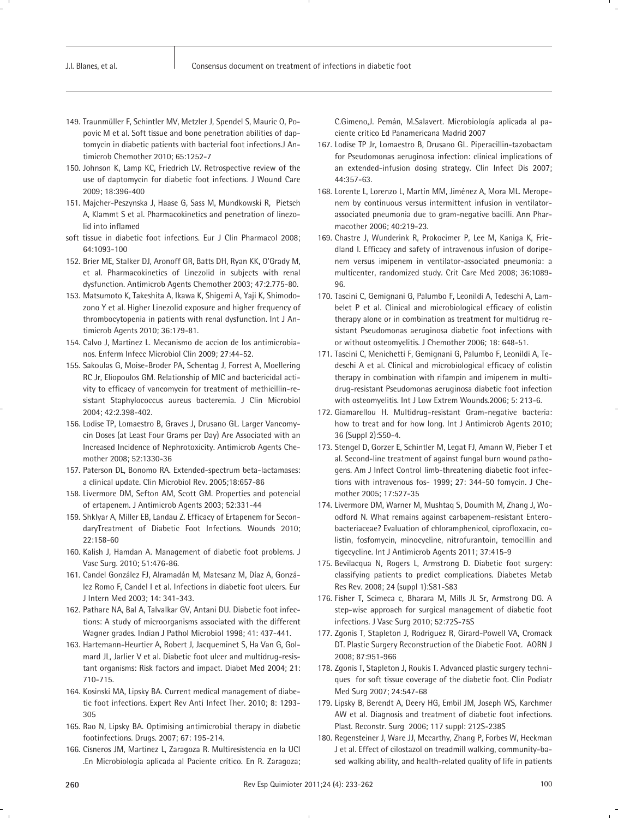- 149. Traunmüller F, Schintler MV, Metzler J, Spendel S, Mauric O, Popovic M et al. Soft tissue and bone penetration abilities of daptomycin in diabetic patients with bacterial foot infections.J Antimicrob Chemother 2010; 65:1252-7
- 150. Johnson K, Lamp KC, Friedrich LV. Retrospective review of the use of daptomycin for diabetic foot infections. J Wound Care 2009; 18:396-400
- 151. Majcher-Peszynska J, Haase G, Sass M, Mundkowski R, Pietsch A, Klammt S et al. Pharmacokinetics and penetration of linezolid into inflamed
- soft tissue in diabetic foot infections. Eur J Clin Pharmacol 2008; 64:1093-100
- 152. Brier ME, Stalker DJ, Aronoff GR, Batts DH, Ryan KK, O'Grady M, et al. Pharmacokinetics of Linezolid in subjects with renal dysfunction. Antimicrob Agents Chemother 2003; 47:2.775-80.
- 153. Matsumoto K, Takeshita A, Ikawa K, Shigemi A, Yaji K, Shimodozono Y et al. Higher Linezolid exposure and higher frequency of thrombocytopenia in patients with renal dysfunction. Int J Antimicrob Agents 2010; 36:179-81.
- 154. Calvo J, Martinez L. Mecanismo de accion de los antimicrobianos. Enferm Infecc Microbiol Clin 2009; 27:44-52.
- 155. Sakoulas G, Moise-Broder PA, Schentag J, Forrest A, Moellering RC Jr, Eliopoulos GM. Relationship of MIC and bactericidal activity to efficacy of vancomycin for treatment of methicillin-resistant Staphylococcus aureus bacteremia. J Clin Microbiol 2004; 42:2.398-402.
- 156. Lodise TP, Lomaestro B, Graves J, Drusano GL. Larger Vancomycin Doses (at Least Four Grams per Day) Are Associated with an Increased Incidence of Nephrotoxicity. Antimicrob Agents Chemother 2008; 52:1330-36
- 157. Paterson DL, Bonomo RA. Extended-spectrum beta-lactamases: a clinical update. Clin Microbiol Rev. 2005;18:657-86
- 158. Livermore DM, Sefton AM, Scott GM. Properties and potencial of ertapenem. J Antimicrob Agents 2003; 52:331-44
- 159. Shklyar A, Miller EB, Landau Z. Efficacy of Ertapenem for SecondaryTreatment of Diabetic Foot Infections. Wounds 2010; 22:158-60
- 160. Kalish J, Hamdan A. Management of diabetic foot problems. J Vasc Surg. 2010; 51:476-86.
- 161. Candel González FJ, Alramadán M, Matesanz M, Díaz A, González Romo F, Candel I et al. Infections in diabetic foot ulcers. Eur J Intern Med 2003; 14: 341-343.
- 162. Pathare NA, Bal A, Talvalkar GV, Antani DU. Diabetic foot infections: A study of microorganisms associated with the different Wagner grades. Indian J Pathol Microbiol 1998; 41: 437-441.
- 163. Hartemann-Heurtier A, Robert J, Jacqueminet S, Ha Van G, Golmard JL, Jarlier V et al. Diabetic foot ulcer and multidrug-resistant organisms: Risk factors and impact. Diabet Med 2004; 21: 710-715.
- 164. Kosinski MA, Lipsky BA. Current medical management of diabetic foot infections. Expert Rev Anti Infect Ther. 2010; 8: 1293- 305
- 165. Rao N, Lipsky BA. Optimising antimicrobial therapy in diabetic footinfections. Drugs. 2007; 67: 195-214.
- 166. Cisneros JM, Martinez L, Zaragoza R. Multiresistencia en la UCI .En Microbiología aplicada al Paciente crítico. En R. Zaragoza;

C.Gimeno,J. Pemán, M.Salavert. Microbiología aplicada al paciente crítico Ed Panamericana Madrid 2007

- 167. Lodise TP Jr, Lomaestro B, Drusano GL. Piperacillin-tazobactam for Pseudomonas aeruginosa infection: clinical implications of an extended-infusion dosing strategy. Clin Infect Dis 2007; 44:357-63.
- 168. Lorente L, Lorenzo L, Martín MM, Jiménez A, Mora ML. Meropenem by continuous versus intermittent infusion in ventilatorassociated pneumonia due to gram-negative bacilli. Ann Pharmacother 2006; 40:219-23.
- 169. Chastre J, Wunderink R, Prokocimer P, Lee M, Kaniga K, Friedland I. Efficacy and safety of intravenous infusion of doripenem versus imipenem in ventilator-associated pneumonia: a multicenter, randomized study. Crit Care Med 2008; 36:1089- 96.
- 170. Tascini C, Gemignani G, Palumbo F, Leonildi A, Tedeschi A, Lambelet P et al. Clinical and microbiological efficacy of colistin therapy alone or in combination as treatment for multidrug resistant Pseudomonas aeruginosa diabetic foot infections with or without osteomyelitis. J Chemother 2006; 18: 648-51.
- 171. Tascini C, Menichetti F, Gemignani G, Palumbo F, Leonildi A, Tedeschi A et al. Clinical and microbiological efficacy of colistin therapy in combination with rifampin and imipenem in multidrug-resistant Pseudomonas aeruginosa diabetic foot infection with osteomyelitis. Int J Low Extrem Wounds.2006; 5: 213-6.
- 172. Giamarellou H. Multidrug-resistant Gram-negative bacteria: how to treat and for how long. Int J Antimicrob Agents 2010; 36 (Suppl 2):S50-4.
- 173. Stengel D, Gorzer E, Schintler M, Legat FJ, Amann W, Pieber T et al. Second-line treatment of against fungal burn wound pathogens. Am J Infect Control limb-threatening diabetic foot infections with intravenous fos- 1999; 27: 344-50 fomycin. J Chemother 2005; 17:527-35
- 174. Livermore DM, Warner M, Mushtaq S, Doumith M, Zhang J, Woodford N. What remains against carbapenem-resistant Enterobacteriaceae? Evaluation of chloramphenicol, ciprofloxacin, colistin, fosfomycin, minocycline, nitrofurantoin, temocillin and tigecycline. Int J Antimicrob Agents 2011; 37:415-9
- 175. Bevilacqua N, Rogers L, Armstrong D. Diabetic foot surgery: classifying patients to predict complications. Diabetes Metab Res Rev. 2008; 24 (suppl 1):S81-S83
- 176. Fisher T, Scimeca c, Bharara M, Mills JL Sr, Armstrong DG. A step-wise approach for surgical management of diabetic foot infections. J Vasc Surg 2010; 52:72S-75S
- 177. Zgonis T, Stapleton J, Rodriguez R, Girard-Powell VA, Cromack DT. Plastic Surgery Reconstruction of the Diabetic Foot. AORN J 2008; 87:951-966
- 178. Zgonis T, Stapleton J, Roukis T. Advanced plastic surgery techniques for soft tissue coverage of the diabetic foot. Clin Podiatr Med Surg 2007; 24:547-68
- 179. Lipsky B, Berendt A, Deery HG, Embil JM, Joseph WS, Karchmer AW et al. Diagnosis and treatment of diabetic foot infections. Plast. Reconstr. Surg 2006; 117 suppl: 212S-238S
- 180. Regensteiner J, Ware JJ, Mccarthy, Zhang P, Forbes W, Heckman J et al. Effect of cilostazol on treadmill walking, community-based walking ability, and health-related quality of life in patients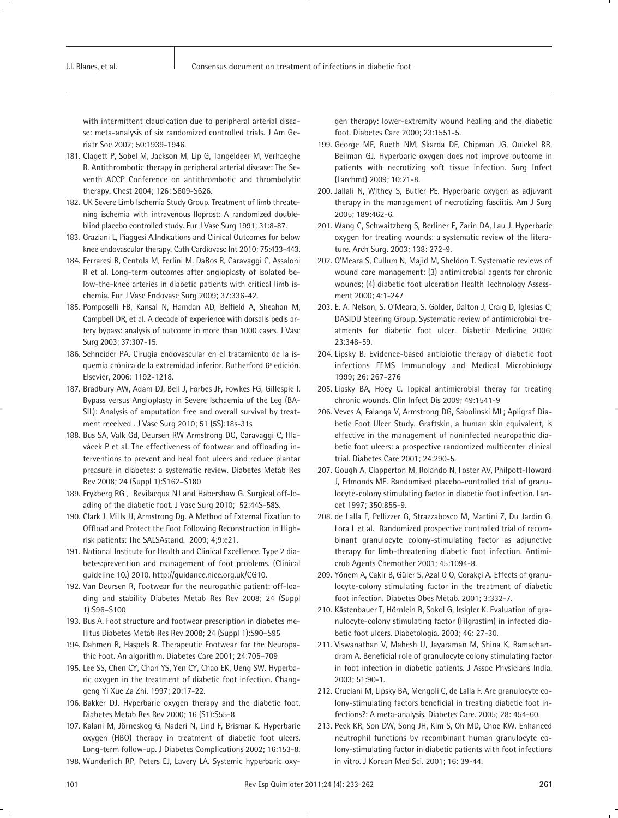with intermittent claudication due to peripheral arterial disease: meta-analysis of six randomized controlled trials. J Am Geriatr Soc 2002; 50:1939-1946.

- 181. Clagett P, Sobel M, Jackson M, Lip G, Tangeldeer M, Verhaeghe R. Antithrombotic therapy in peripheral arterial disease: The Seventh ACCP Conference on antithrombotic and thrombolytic therapy. Chest 2004; 126: S609-S626.
- 182. UK Severe Limb Ischemia Study Group. Treatment of limb threatening ischemia with intravenous Iloprost: A randomized doubleblind placebo controlled study. Eur J Vasc Surg 1991; 31:8-87.
- 183. Graziani L, Piaggesi A.Indications and Clinical Outcomes for below knee endovascular therapy. Cath Cardiovasc Int 2010; 75:433-443.
- 184. Ferraresi R, Centola M, Ferlini M, DaRos R, Caravaggi C, Assaloni R et al. Long-term outcomes after angioplasty of isolated below-the-knee arteries in diabetic patients with critical limb ischemia. Eur J Vasc Endovasc Surg 2009; 37:336-42.
- 185. Pomposelli FB, Kansal N, Hamdan AD, Belfield A, Sheahan M, Campbell DR, et al. A decade of experience with dorsalis pedis artery bypass: analysis of outcome in more than 1000 cases. J Vasc Surg 2003; 37:307-15.
- 186. Schneider PA. Cirugía endovascular en el tratamiento de la isquemia crónica de la extremidad inferior. Rutherford 6ª edición. Elsevier, 2006: 1192-1218.
- 187. Bradbury AW, Adam DJ, Bell J, Forbes JF, Fowkes FG, Gillespie I. Bypass versus Angioplasty in Severe Ischaemia of the Leg (BA-SIL): Analysis of amputation free and overall survival by treatment received . J Vasc Surg 2010; 51 (5S):18s-31s
- 188. Bus SA, Valk Gd, Deursen RW Armstrong DG, Caravaggi C, Hlavácek P et al. The effectiveness of footwear and offloading interventions to prevent and heal foot ulcers and reduce plantar preasure in diabetes: a systematic review. Diabetes Metab Res Rev 2008; 24 (Suppl 1):S162–S180
- 189. Frykberg RG , Bevilacqua NJ and Habershaw G. Surgical off-loading of the diabetic foot. J Vasc Surg 2010; 52:44S-58S.
- 190. Clark J, Mills JJ, Armstrong Dg. A Method of External Fixation to Offload and Protect the Foot Following Reconstruction in Highrisk patients: The SALSAstand. 2009; 4;9:e21.
- 191. National Institute for Health and Clinical Excellence. Type 2 diabetes:prevention and management of foot problems. (Clinical guideline 10.) 2010. http://guidance.nice.org.uk/CG10.
- 192. Van Deursen R, Footwear for the neuropathic patient: off-loading and stability Diabetes Metab Res Rev 2008; 24 (Suppl 1):S96–S100
- 193. Bus A. Foot structure and footwear prescription in diabetes mellitus Diabetes Metab Res Rev 2008; 24 (Suppl 1):S90–S95
- 194. Dahmen R, Haspels R. Therapeutic Footwear for the Neuropathic Foot. An algorithm. Diabetes Care 2001; 24:705–709
- 195. Lee SS, Chen CY, Chan YS, Yen CY, Chao EK, Ueng SW. Hyperbaric oxygen in the treatment of diabetic foot infection. Changgeng Yi Xue Za Zhi. 1997; 20:17-22.
- 196. Bakker DJ. Hyperbaric oxygen therapy and the diabetic foot. Diabetes Metab Res Rev 2000; 16 (S1):S55-8
- 197. Kalani M, Jörneskog G, Naderi N, Lind F, Brismar K. Hyperbaric oxygen (HBO) therapy in treatment of diabetic foot ulcers. Long-term follow-up. J Diabetes Complications 2002; 16:153-8.
- 198. Wunderlich RP, Peters EJ, Lavery LA. Systemic hyperbaric oxy-

gen therapy: lower-extremity wound healing and the diabetic foot. Diabetes Care 2000; 23:1551-5.

- 199. George ME, Rueth NM, Skarda DE, Chipman JG, Quickel RR, Beilman GJ. Hyperbaric oxygen does not improve outcome in patients with necrotizing soft tissue infection. Surg Infect (Larchmt) 2009; 10:21-8.
- 200. Jallali N, Withey S, Butler PE. Hyperbaric oxygen as adjuvant therapy in the management of necrotizing fasciitis. Am J Surg 2005; 189:462-6.
- 201. Wang C, Schwaitzberg S, Berliner E, Zarin DA, Lau J. Hyperbaric oxygen for treating wounds: a systematic review of the literature. Arch Surg. 2003; 138: 272-9.
- 202. O'Meara S, Cullum N, Majid M, Sheldon T. Systematic reviews of wound care management: (3) antimicrobial agents for chronic wounds; (4) diabetic foot ulceration Health Technology Assessment 2000; 4:1-247
- 203. E. A. Nelson, S. O'Meara, S. Golder, Dalton J, Craig D, Iglesias C; DASIDU Steering Group. Systematic review of antimicrobial treatments for diabetic foot ulcer. Diabetic Medicine 2006; 23:348-59.
- 204. Lipsky B. Evidence-based antibiotic therapy of diabetic foot infections FEMS Immunology and Medical Microbiology 1999; 26: 267-276
- 205. Lipsky BA, Hoey C. Topical antimicrobial theray for treating chronic wounds. Clin Infect Dis 2009; 49:1541-9
- 206. Veves A, Falanga V, Armstrong DG, Sabolinski ML; Apligraf Diabetic Foot Ulcer Study. Graftskin, a human skin equivalent, is effective in the management of noninfected neuropathic diabetic foot ulcers: a prospective randomized multicenter clinical trial. Diabetes Care 2001; 24:290-5.
- 207. Gough A, Clapperton M, Rolando N, Foster AV, Philpott-Howard J, Edmonds ME. Randomised placebo-controlled trial of granulocyte-colony stimulating factor in diabetic foot infection. Lancet 1997; 350:855-9.
- 208. de Lalla F, Pellizzer G, Strazzabosco M, Martini Z, Du Jardin G, Lora L et al. Randomized prospective controlled trial of recombinant granulocyte colony-stimulating factor as adjunctive therapy for limb-threatening diabetic foot infection. Antimicrob Agents Chemother 2001; 45:1094-8.
- 209. Yönem A, Cakir B, Güler S, Azal O O, Corakçi A. Effects of granulocyte-colony stimulating factor in the treatment of diabetic foot infection. Diabetes Obes Metab. 2001; 3:332-7.
- 210. Kästenbauer T, Hörnlein B, Sokol G, Irsigler K. Evaluation of granulocyte-colony stimulating factor (Filgrastim) in infected diabetic foot ulcers. Diabetologia. 2003; 46: 27-30.
- 211. Viswanathan V, Mahesh U, Jayaraman M, Shina K, Ramachandram A. Beneficial role of granulocyte colony stimulating factor in foot infection in diabetic patients. J Assoc Physicians India. 2003; 51:90-1.
- 212. Cruciani M, Lipsky BA, Mengoli C, de Lalla F. Are granulocyte colony-stimulating factors beneficial in treating diabetic foot infections?: A meta-analysis. Diabetes Care. 2005; 28: 454-60.
- 213. Peck KR, Son DW, Song JH, Kim S, Oh MD, Choe KW. Enhanced neutrophil functions by recombinant human granulocyte colony-stimulating factor in diabetic patients with foot infections in vitro. J Korean Med Sci. 2001; 16: 39-44.